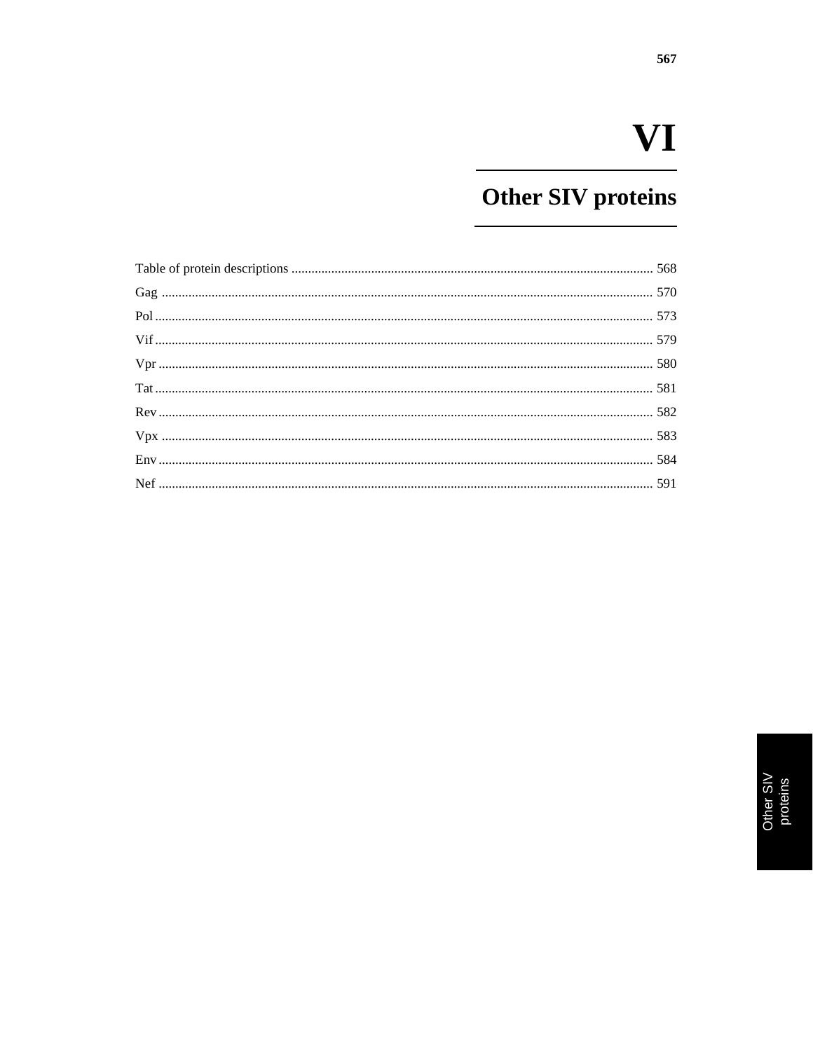## Other SIV proteins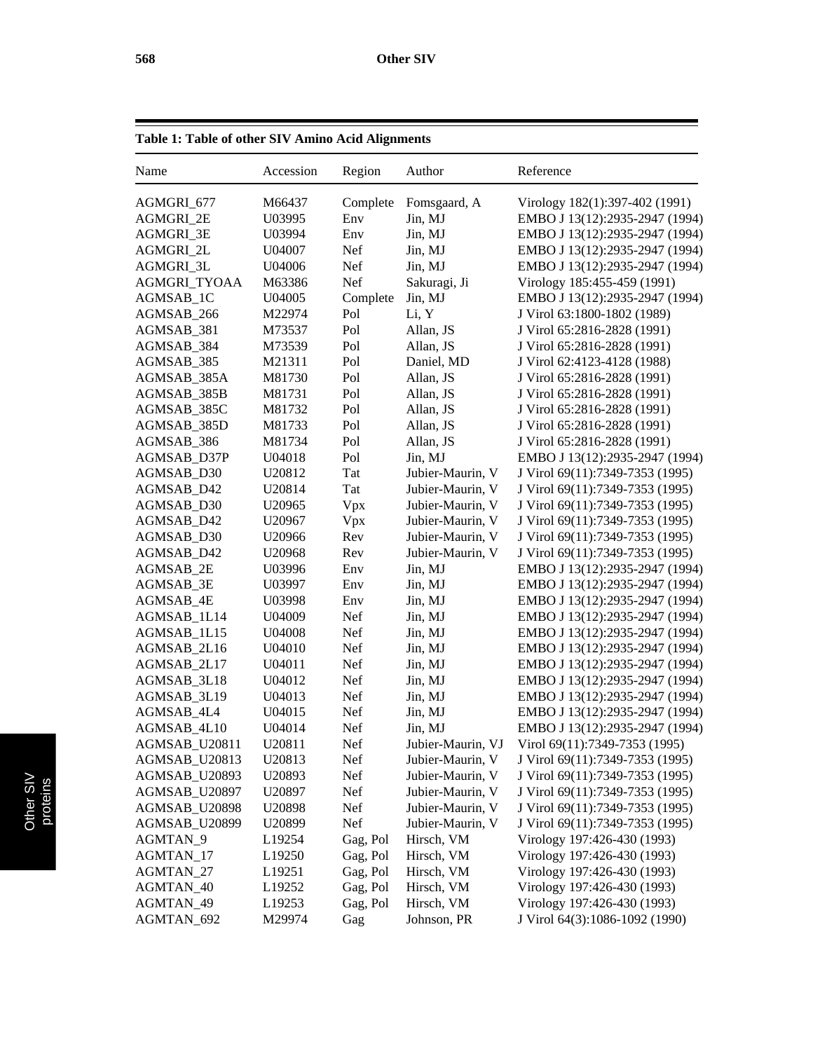| Table 1: Table of other SIV Amino Acid Alignments |                    |            |                   |                                 |
|---------------------------------------------------|--------------------|------------|-------------------|---------------------------------|
| Name                                              | Accession          | Region     | Author            | Reference                       |
| AGMGRI_677                                        | M66437             | Complete   | Fomsgaard, A      | Virology 182(1):397-402 (1991)  |
| AGMGRI_2E                                         | U03995             | Env        | Jin, MJ           | EMBO J 13(12):2935-2947 (1994)  |
| AGMGRI_3E                                         | U03994             | Env        | Jin, MJ           | EMBO J 13(12):2935-2947 (1994)  |
| AGMGRI_2L                                         | U04007             | Nef        | Jin, MJ           | EMBO J 13(12):2935-2947 (1994)  |
| AGMGRI_3L                                         | U04006             | Nef        | Jin, MJ           | EMBO J 13(12):2935-2947 (1994)  |
| AGMGRI_TYOAA                                      | M63386             | Nef        | Sakuragi, Ji      | Virology 185:455-459 (1991)     |
| AGMSAB_1C                                         | U04005             | Complete   | Jin, MJ           | EMBO J 13(12):2935-2947 (1994)  |
| AGMSAB_266                                        | M22974             | Pol        | Li, Y             | J Virol 63:1800-1802 (1989)     |
| AGMSAB_381                                        | M73537             | Pol        | Allan, JS         | J Virol 65:2816-2828 (1991)     |
| AGMSAB_384                                        | M73539             | Pol        | Allan, JS         | J Virol 65:2816-2828 (1991)     |
| AGMSAB_385                                        | M21311             | Pol        | Daniel, MD        | J Virol 62:4123-4128 (1988)     |
| AGMSAB_385A                                       | M81730             | Pol        | Allan, JS         | J Virol 65:2816-2828 (1991)     |
| AGMSAB_385B                                       | M81731             | Pol        | Allan, JS         | J Virol 65:2816-2828 (1991)     |
| AGMSAB_385C                                       | M81732             | Pol        | Allan, JS         | J Virol 65:2816-2828 (1991)     |
| AGMSAB_385D                                       | M81733             | Pol        | Allan, JS         | J Virol 65:2816-2828 (1991)     |
| AGMSAB_386                                        | M81734             | Pol        | Allan, JS         | J Virol 65:2816-2828 (1991)     |
| AGMSAB_D37P                                       | U04018             | Pol        | Jin, MJ           | EMBO J 13(12):2935-2947 (1994)  |
| AGMSAB_D30                                        | U <sub>20812</sub> | Tat        | Jubier-Maurin, V  | J Virol 69(11):7349-7353 (1995) |
| AGMSAB_D42                                        | U20814             | Tat        | Jubier-Maurin, V  | J Virol 69(11):7349-7353 (1995) |
| AGMSAB_D30                                        | U <sub>20965</sub> | Vpx        | Jubier-Maurin, V  | J Virol 69(11):7349-7353 (1995) |
| AGMSAB_D42                                        | U <sub>20967</sub> | Vpx        | Jubier-Maurin, V  | J Virol 69(11):7349-7353 (1995) |
| AGMSAB_D30                                        | U <sub>20966</sub> | Rev        | Jubier-Maurin, V  | J Virol 69(11):7349-7353 (1995) |
| AGMSAB_D42                                        | U <sub>20968</sub> | Rev        | Jubier-Maurin, V  | J Virol 69(11):7349-7353 (1995) |
| AGMSAB_2E                                         | U03996             | Env        | Jin, MJ           | EMBO J 13(12):2935-2947 (1994)  |
| AGMSAB_3E                                         | U03997             | Env        | Jin, MJ           | EMBO J 13(12):2935-2947 (1994)  |
| AGMSAB_4E                                         | U03998             | Env        | Jin, MJ           | EMBO J 13(12):2935-2947 (1994)  |
| AGMSAB_1L14                                       | U04009             | Nef        | Jin, MJ           | EMBO J 13(12):2935-2947 (1994)  |
| AGMSAB_1L15                                       | U04008             | Nef        | Jin, MJ           | EMBO J 13(12):2935-2947 (1994)  |
| AGMSAB_2L16                                       | U04010             | Nef        | Jin, MJ           | EMBO J 13(12):2935-2947 (1994)  |
| AGMSAB_2L17                                       | U04011             | Nef        | Jin, MJ           | EMBO J 13(12):2935-2947 (1994)  |
| AGMSAB_3L18                                       | U04012             | Nef        | Jin, MJ           | EMBO J 13(12):2935-2947 (1994)  |
| AGMSAB_3L19                                       | U04013             | <b>Nef</b> | Jin, MJ           | EMBO J 13(12):2935-2947 (1994)  |
| AGMSAB_4L4                                        | U04015             | Nef        | Jin, MJ           | EMBO J 13(12):2935-2947 (1994)  |
| AGMSAB_4L10                                       | U04014             | Nef        | Jin, MJ           | EMBO J 13(12):2935-2947 (1994)  |
| AGMSAB_U20811                                     | U20811             | Nef        | Jubier-Maurin, VJ | Virol 69(11):7349-7353 (1995)   |
| AGMSAB_U20813                                     | U <sub>20813</sub> | Nef        | Jubier-Maurin, V  | J Virol 69(11):7349-7353 (1995) |
| AGMSAB_U20893                                     | U <sub>20893</sub> | Nef        | Jubier-Maurin, V  | J Virol 69(11):7349-7353 (1995) |
| AGMSAB_U20897                                     | U <sub>20897</sub> | Nef        | Jubier-Maurin, V  | J Virol 69(11):7349-7353 (1995) |
| AGMSAB_U20898                                     | U <sub>20898</sub> | Nef        | Jubier-Maurin, V  | J Virol 69(11):7349-7353 (1995) |
| AGMSAB_U20899                                     | U20899             | Nef        | Jubier-Maurin, V  | J Virol 69(11):7349-7353 (1995) |
| AGMTAN_9                                          | L <sub>19254</sub> | Gag, Pol   | Hirsch, VM        | Virology 197:426-430 (1993)     |
| AGMTAN_17                                         | L <sub>19250</sub> | Gag, Pol   | Hirsch, VM        | Virology 197:426-430 (1993)     |
| AGMTAN_27                                         | L19251             | Gag, Pol   | Hirsch, VM        | Virology 197:426-430 (1993)     |
| AGMTAN_40                                         | L19252             | Gag, Pol   | Hirsch, VM        | Virology 197:426-430 (1993)     |
| AGMTAN_49                                         | L <sub>19253</sub> | Gag, Pol   | Hirsch, VM        | Virology 197:426-430 (1993)     |
| AGMTAN_692                                        | M29974             | Gag        | Johnson, PR       | J Virol 64(3):1086-1092 (1990)  |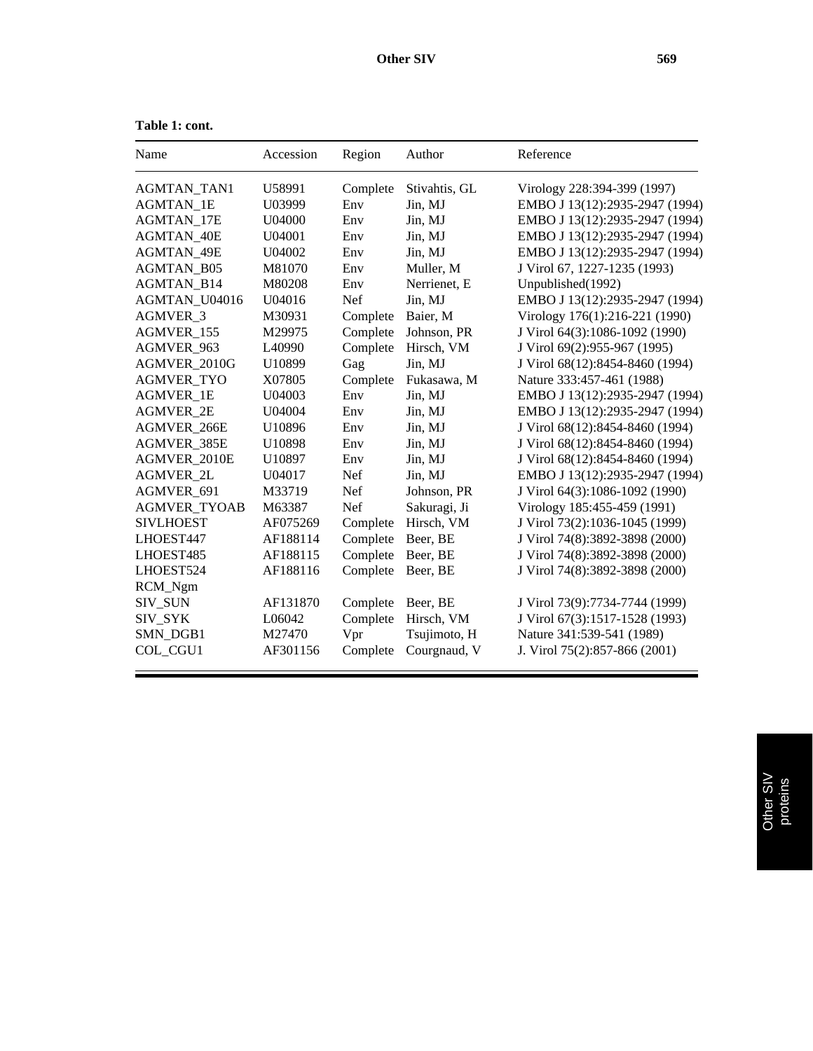| Name                | Accession          | Region     | Author        | Reference                       |
|---------------------|--------------------|------------|---------------|---------------------------------|
| <b>AGMTAN_TAN1</b>  | U58991             | Complete   | Stivahtis, GL | Virology 228:394-399 (1997)     |
| <b>AGMTAN 1E</b>    | U03999             | Env        | Jin, MJ       | EMBO J 13(12):2935-2947 (1994)  |
| <b>AGMTAN 17E</b>   | U04000             | Env        | Jin, MJ       | EMBO J 13(12):2935-2947 (1994)  |
| <b>AGMTAN 40E</b>   | U04001             | Env        | Jin, MJ       | EMBO J 13(12):2935-2947 (1994)  |
| <b>AGMTAN 49E</b>   | U04002             | Env        | Jin, MJ       | EMBO J 13(12):2935-2947 (1994)  |
| <b>AGMTAN B05</b>   | M81070             | Env        | Muller, M     | J Virol 67, 1227-1235 (1993)    |
| <b>AGMTAN B14</b>   | M80208             | Env        | Nerrienet, E  | Unpublished(1992)               |
| AGMTAN_U04016       | U04016             | Nef        | Jin, MJ       | EMBO J 13(12):2935-2947 (1994)  |
| AGMVER_3            | M30931             | Complete   | Baier, M      | Virology 176(1):216-221 (1990)  |
| AGMVER 155          | M29975             | Complete   | Johnson, PR   | J Virol 64(3):1086-1092 (1990)  |
| <b>AGMVER 963</b>   | L <sub>40990</sub> | Complete   | Hirsch, VM    | J Virol 69(2):955-967 (1995)    |
| AGMVER 2010G        | U10899             | Gag        | Jin, MJ       | J Virol 68(12):8454-8460 (1994) |
| <b>AGMVER TYO</b>   | X07805             | Complete   | Fukasawa, M   | Nature 333:457-461 (1988)       |
| <b>AGMVER 1E</b>    | U04003             | Env        | Jin, MJ       | EMBO J 13(12):2935-2947 (1994)  |
| <b>AGMVER 2E</b>    | U04004             | Env        | Jin, MJ       | EMBO J 13(12):2935-2947 (1994)  |
| AGMVER_266E         | U10896             | Env        | Jin, MJ       | J Virol 68(12):8454-8460 (1994) |
| AGMVER_385E         | U10898             | Env        | Jin, MJ       | J Virol 68(12):8454-8460 (1994) |
| AGMVER 2010E        | U10897             | Env        | Jin, MJ       | J Virol 68(12):8454-8460 (1994) |
| <b>AGMVER 2L</b>    | U04017             | Nef        | Jin, MJ       | EMBO J 13(12):2935-2947 (1994)  |
| AGMVER 691          | M33719             | <b>Nef</b> | Johnson, PR   | J Virol 64(3):1086-1092 (1990)  |
| <b>AGMVER TYOAB</b> | M63387             | <b>Nef</b> | Sakuragi, Ji  | Virology 185:455-459 (1991)     |
| <b>SIVLHOEST</b>    | AF075269           | Complete   | Hirsch, VM    | J Virol 73(2):1036-1045 (1999)  |
| LHOEST447           | AF188114           | Complete   | Beer, BE      | J Virol 74(8):3892-3898 (2000)  |
| LHOEST485           | AF188115           | Complete   | Beer, BE      | J Virol 74(8):3892-3898 (2000)  |
| LHOEST524           | AF188116           | Complete   | Beer, BE      | J Virol 74(8):3892-3898 (2000)  |
| RCM_Ngm             |                    |            |               |                                 |
| SIV_SUN             | AF131870           | Complete   | Beer, BE      | J Virol 73(9):7734-7744 (1999)  |
| SIV_SYK             | L06042             | Complete   | Hirsch, VM    | J Virol 67(3):1517-1528 (1993)  |
| SMN_DGB1            | M27470             | Vpr        | Tsujimoto, H  | Nature 341:539-541 (1989)       |
| COL CGU1            | AF301156           | Complete   | Courgnaud, V  | J. Virol 75(2):857-866 (2001)   |

**Table 1: cont.**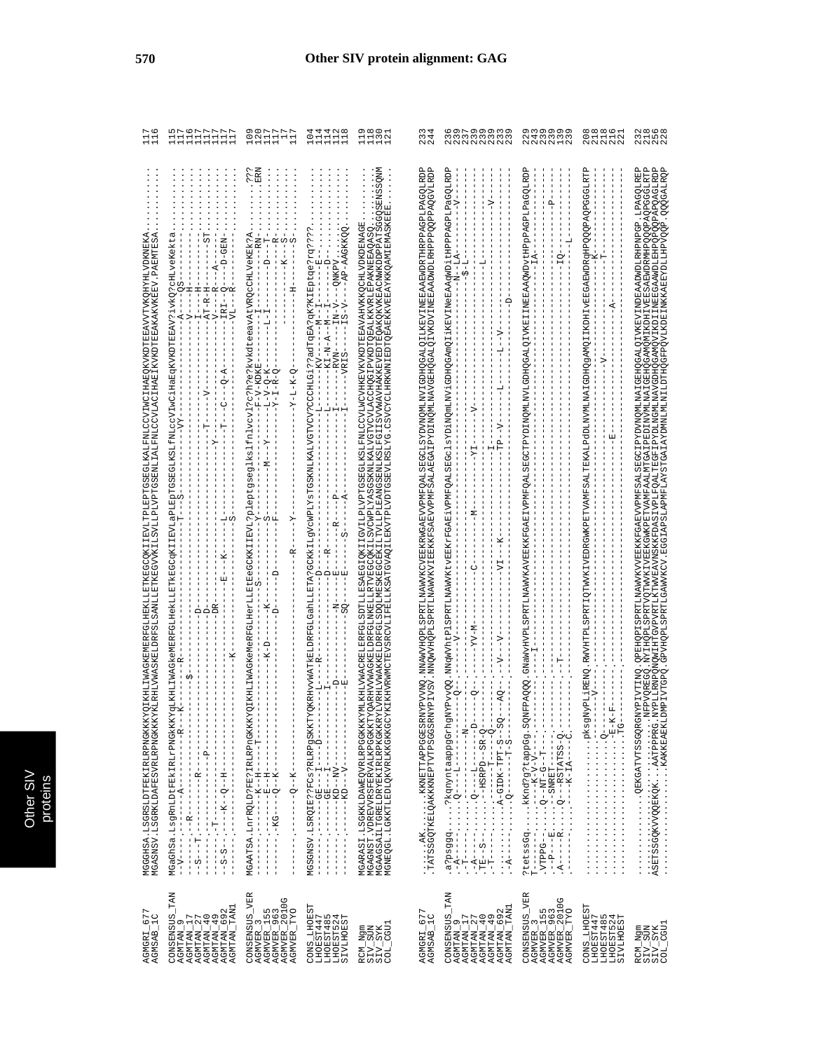| AGMGRI_677<br>AGMSAB_1C                                                                                                                                                                                    | Q IKHLIWAGKEMERFGIHEKLLEYIKEGCQKIIEYLIFYLEE EESSEGIKALEWICCVIMQIHAEQKVKDTEBAVVTVKQHHIVDKNEKA<br>SA<br>(LRHLVWASKELDRFSLSANLLETKEGVVKILSVLLPLVPTGSENLIALFNLCCVLACIHAEIKVKDTEEAKVKEKEEV .PAEMTE<br>MGASNSV.LSGRKLDAFESVRLRPNGKKKYI<br>MGGHSA.LSGRSLDTFEKIRLPNGKKKY                                                                                                                                                                                                                                                                                                            | G<br>브르                                                             |
|------------------------------------------------------------------------------------------------------------------------------------------------------------------------------------------------------------|-----------------------------------------------------------------------------------------------------------------------------------------------------------------------------------------------------------------------------------------------------------------------------------------------------------------------------------------------------------------------------------------------------------------------------------------------------------------------------------------------------------------------------------------------------------------------------|---------------------------------------------------------------------|
| <b>TAN</b><br>TAN1<br>$\begin{array}{l} \text{AGMTAN\_17} \\ \text{AGMTAN\_27} \\ \text{AGMTAN\_40} \\ \text{AGMTAN\_49} \\ \text{AGMTAN\_692} \end{array}$<br>CONSENSUS<br>Ō,<br>AGMTAN_<br><b>AGMTAN</b> | 55<br>- NHO-0-1<br>$\mathbf{I}$<br>ĸ<br>$\frac{1}{2}$<br>$-AT-RA-H$<br>$-IRI$<br>$\frac{1}{1}$<br>-VL-<br>$-Q - A$<br>U<br> <br>י<br>י<br>C)<br>¥<br>囯<br>≏<br>≏<br>MGaGhSa.LsgRnLDtFEkIRLrPNGkKKY<br>$\begin{array}{cccccccccccccc} 1 & 1 & 1 & 1 & 1 & 1 & 1 & 1 & 1 & 1 & 1 & 1 \\ & & 1 & 1 & 1 & 1 & 1 & 1 & 1 & 1 & 1 & 1 \\ \end{array}$<br>$\begin{bmatrix} 1 \\ 1 \\ 1 \\ 1 \end{bmatrix}$<br>j<br>J<br>$\frac{1}{1}$<br>$\mathbf{I}$<br>í<br>$\frac{1}{1}$<br>$\frac{1}{1}$<br>$\frac{1}{1}$<br>I<br>I<br>$- - - - - - -$<br>$\frac{1}{1}$<br>$\frac{1}{1}$<br>J. | 0 <sub>F</sub><br>ທ⊳<br>Ē<br>ᅼ                                      |
| CONSENSUS_VER<br>AGMVER_155<br>AGMVER_963<br>AGMVER_2010G<br><b>DYT</b><br><b>AGMVER</b><br><b>AGMVER</b>                                                                                                  | ERN<br>.م<br>م<br>MGAATSA.InrRQLD?FE?IRLAEPOSKKKYQIKHLIMAGKeMeRFGLHerLLEtEeGCKKIIEVL?pleptgseglkslfnlvcvl?c?h?e?kvkdteeavAtVRQcCHLVeKEk?A<br>$R$ –<br>÷<br> <br>S<br>M<br>I<br>؋<br>¥<br>-1-V-Q-K-<br>$-X - T - K - Q$<br>$-1 - R - Q$<br>-V-KD<br>ř<br>Σ<br>ωĿ<br>≻<br>ĸ<br>$ -K$<br>Ŗ<br>$-1$ $-1$ $-1$ $-1$ $-1$ $-1$<br>$\begin{array}{c} 1 \\ 1 \\ 1 \end{array}$<br>$\frac{1}{1}$<br>$\frac{1}{1}$<br>$\mathbf{I}$                                                                                                                                                    | SN-<br>$\overline{1}$<br>ਜਿਜ                                        |
| CONS_LHOEST<br>LHOEST447<br>IHOEST485<br>LHOEST485<br>55<br><b>SIVLHOE</b>                                                                                                                                 | $--PP-ABGKKOO$<br>QKRHvvWATkELDRFGLGahLLETA?GCKKLILgVcWPLYsTGSKNLKALVGTVCV?CCCHLGi??adTqEA?qK?KIEptqe?rq???<br>$\overline{1}$<br>$-ONKEY$<br>J<br>$-11N$<br>$- -N$<br>$-215-$<br>$- -M - -$<br>$-KI-N-RA$<br>$-RVM$<br>$-VRTS$<br>$\mathbf{I}$<br>$\blacksquare$<br>$\mathbf{a}$<br>$-4$<br>$\,$ I<br>R<br>÷<br>$-8$<br>$\frac{1}{\pi}$<br>≏<br>٩<br>囸<br>$\frac{1}{1}$<br>$\circ$<br>$\frac{1}{1}$<br>뛰<br>MGSGNSV.LSRQIE??FCs?RLRPgSKKTY<br>j<br>$\frac{1}{1}$<br>$\begin{array}{c} 1 \\ 1 \\ 1 \end{array}$                                                              | 4<br>4<br>$\sim$ $\infty$<br>$\circ$ $\dashv$<br>$\mathbb{I}$<br>큰큰 |
| COL CGU1<br>$\begin{array}{l} \texttt{RCM\_Ngm} \\ \texttt{SIV\_SUM} \\ \texttt{SIV\_SUK} \end{array}$                                                                                                     | GGQSENSSQNM<br>I KHVRMMCTBV SRCVILI PELLIKSATGVAQ I LEKVTPLVDTGSBVLRSLYG . CSVCYCLHRKMNI EDTOBABKKVB EAYKKOAMI EMASKEEE<br>4LKH1VWACRELERFGLGDTLLESAEGIQKIIGTVULPLVFTGSEGIKSLEWLCCVLWCVHKEVKVKDTEEAVAHVKKQCH1VDKDEAVA<br>ARHVVWAGKELDRFGLMKELLRTVEGCQKILSYCWPLYASGSKNLKALVGTVCVLACCHQGIPVKDTQEALKKVRLEPAKNEEAQASQ<br>VRHLVWAKK ELDRFGLSDOLMESK BGCEK I LTVLLPLEANGS ENLK SLFG I 1 SVVWAVHÅKK EVEDTEQAK QKVK EACNWKDDPPATS<br>MGARASI . LSGKKLDAWEQVRLRPGGKKKYM<br>MGAGNST . VDREVVRSFERVALKPGGKKTYQ<br>MGAAGSAILTGRELDRYEKTRLRPKGKKRYI<br>MGNEQGL.LGKKTLEDLQKVRLKKGKKGCY    | 11111<br>11111<br>ᅼ                                                 |
| AGMGRI_677<br>AGMSAB_1C                                                                                                                                                                                    | Y PVVNO_NNAWVHQPLSPRTLNAWVKCVERKRWGABVVPWFQALSBGCLSYDVNQWLNV1GDHQGALQ1IKEVINKBZAAEWDRTHRPPAGPLPAGGLRDP<br>YPIVSV. NNQWVHQPLSPRTLNAWVKV1ERKKPSABVVPWFSALABGA1PYDTNQWLNAVVBHQGALQ1VKDVINEBRAAEWDRFRPPPQQPPAGVLRDP<br>. TATSOSGALALGENYXYXYÖTEYLPOOSERKL<br>LISTOSGALALLENYXYYYÖTEYLPOOSERKL                                                                                                                                                                                                                                                                                   | 3<br>3<br>4<br>4<br>ΩŃ                                              |
| <b>TAN</b><br>AGMTAN_TAN<br>$\sim$<br>CONSENSUS<br>AGMTAN_27<br>AGMTAN_40<br>AGMTAN_49<br>AGMTAN_692<br>AGMTAN_17<br>Ō,<br><b>AGMTAN_</b>                                                                  | YPvvQQ.NNqWVhtPlSPRTILNAWVKtvEEKrFGABlVPMFQALSEGclsYDiNQmLMViGDHQGAmQlilKEVINeEAAqWDitHPPAGPLPaGQDLRDP<br>$-1A$<br>7<br>Ĥ<br>5<br>M-AX<br>7<br>$\frac{1}{\sqrt{2}}$<br>$\frac{1}{\sqrt{2}}$<br>$- AQ$<br>N6uzp6ddeequAubyib66sd.e.<br>Ė<br>Ė.<br>۴,                                                                                                                                                                                                                                                                                                                         | waraaama<br>mmmmmmmm<br><b>2222222</b>                              |
| CONSENSUS_VER<br>AGMVER_155<br>AGMVER_963<br>AGMVER_2010G<br>OXL<br>S.<br><b>AGMVER</b><br><b>AGMVER</b>                                                                                                   | dGHTGDPdTdDbdFLLVAMOVTHTTFRANTTTRDFGCHTANTOOHLANTMONTLANTMODHTGDHTGDHTTFRDFANTHTTFDPDFDFDFDFDFDFDFDF<br>$\Omega$<br>$\circ$<br>?tetssGgkKnd?g?tappGg.SQNFPAQQ<br>$---E - E - E - - - - C - -$<br>しょくしょく<br>$\begin{array}{c} 1 \\ 1 \\ 1 \end{array}$<br>J,                                                                                                                                                                                                                                                                                                                 | O M O O O O<br>N <del>d</del> M M M M<br>N N N N H N                |
| <b>CONS_LHOEST</b><br>5<br>4<br>LHOEST447<br><b>SIVLHOEST</b><br>LHOEST48<br>LHOEST52                                                                                                                      | PLALENQ. RWYHTPLSPRTTQTWYKTVEDRGWKPPTYAMFSALTEKALDEUNVMLMAIGDHQgAMQIIKDHIVEBGAEWDRGHPQQQDAGGGLRTP<br>囯                                                                                                                                                                                                                                                                                                                                                                                                                                                                      | 8<br>212<br>22<br>080                                               |
| RCM_Ngm<br>SIV_SUN<br>SIV_SVK<br>COL_CGU1                                                                                                                                                                  | ESAEWDRMHPQQQPAQPGGGLRTP<br>GAAWDLEHPQPQQPAPQAGLRDP<br>SPRTLINAWVKVVBEKKFGAEVVPMFSALSEGCIPYDVNQMLNAIGEEQGALQIVKEVINDEAADWDLRHPNPGP. LPAGQLREP<br>OPLSPRTVOTWVKIVEEKGWKPETVAMFAALMTGAIPEDINVMLMAIGEHOGAMOMIKDHIVE<br>IVPLFQALTEGFIPYDLMGMLMAVGDHQGAMQVIKDIINE<br>σó<br>PLLRNPQNQWIHTGVPVRTLKTWVEAVNSKKFDA<br>PIVTINQ.QPEHQPI<br>HINN.<br>NEWSSELVINGAL                                                                                                                                                                                                                       | 22868<br>21569<br>2222                                              |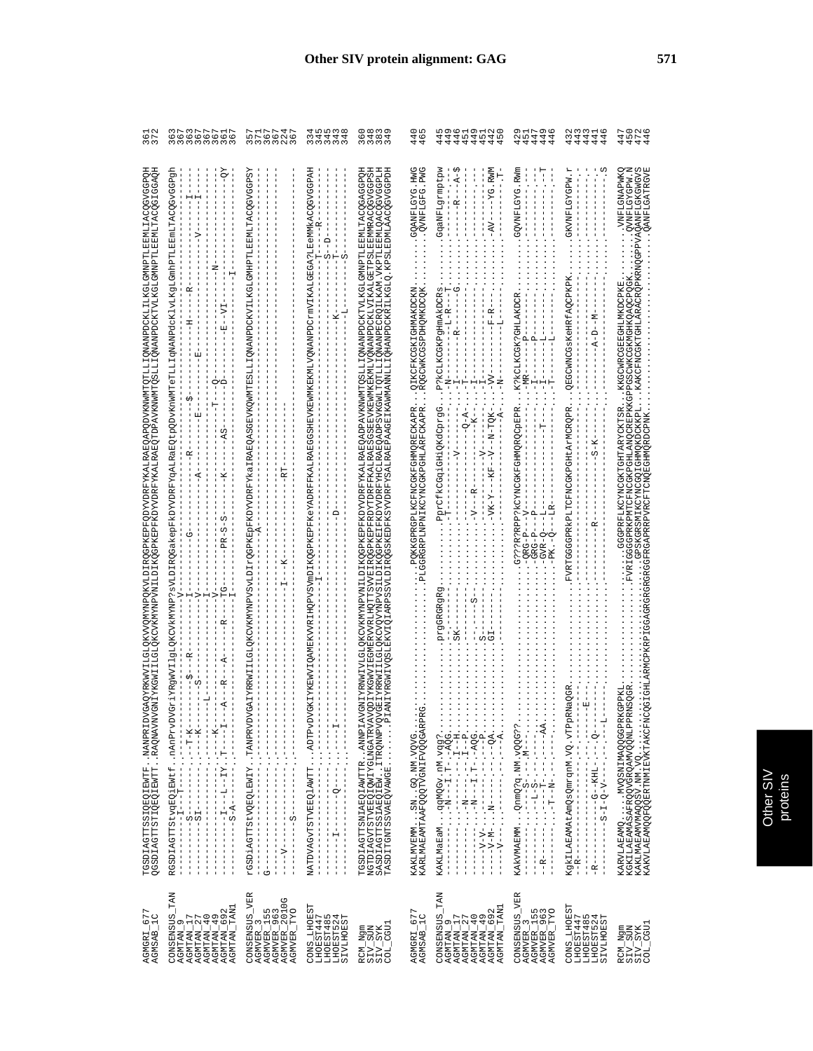| AGMGRI_677<br>AGMSAB_1C                                                                                                     | GAQYRKWYILOLOKYVQWYNPQKYVLDIRQGPKEPFQDYVDRFYKALRARQAPQDVKNWMTQTLLIQNANPDCKLILKGLGMNPTLEEMLILOQGVGGPQB<br>EQISTATILIGLOKCVKWYNNYNDVAILDIKQGPKEPFKOYVNRFYKALRARQTDPAVKNWMTQSLLIQNANPDCKTVLKGLGMNPTLEEMLTDQGJGFGARQH<br>TGSDIAGTTSSIQEQIEWTFNANPRIDV<br>QGSDIAGTTSTIQEQIEWTTRAQNAVNV                                                                                                                                                                                                                                                                                                                                                                                                                                                                 | 361<br>372                                                       |
|-----------------------------------------------------------------------------------------------------------------------------|---------------------------------------------------------------------------------------------------------------------------------------------------------------------------------------------------------------------------------------------------------------------------------------------------------------------------------------------------------------------------------------------------------------------------------------------------------------------------------------------------------------------------------------------------------------------------------------------------------------------------------------------------------------------------------------------------------------------------------------------------|------------------------------------------------------------------|
| <b>TAN</b><br>AGMTAN_TAN1<br>AGNTAN_17<br>AGNTAN_27<br>AGNTAN_40<br>AGNTAN_49<br>AGNTAN_692<br>CONSENSUS_<br>AGMTAN_9       | Ŗ<br>$-57$<br>囯<br>O<br>⊆<br>AS<br>œ<br>≃<br>U)<br>w<br>U<br>R<br>ĸ<br>œ<br>I<br>К<br>œ,<br>F<br>$- - K - -$<br>RGSDIAGTTStvgEQiEWtfnAni<br>------------I---T------<br>$\frac{1}{2}$<br>T<br>$\frac{1}{1}$<br>$\frac{1}{1}$<br>$\begin{bmatrix} 1 \\ 1 \\ 1 \\ 1 \end{bmatrix}$<br>$\frac{1}{1}$<br>$\frac{1}{1}$<br>I<br>I.                                                                                                                                                                                                                                                                                                                                                                                                                      | ろ737771755 6 6 6 6 6 6 6 6 5 5 5<br>6 0 0 0 0 0 0 0 0 0          |
| CONSENSUS_VER<br>AGMVER_3<br>AGMVER_155<br>AGMVER_963<br>AGMVER_2010G<br>AGMVER TYO                                         | XSdPDARMITIDIOXCMDANAMADIDIOXIDININGARA TRABOGRARASGRARANG ARABAN ARAH ANG ARAH ASAG DA TA TAGA TA TAGA DA TAG<br>뒪<br>¥<br>rGSDiAGTTStVQEQLEWIYTANPRVDV<br>$\begin{array}{c} 1 \\ 1 \\ 1 \\ 1 \\ 1 \end{array}$                                                                                                                                                                                                                                                                                                                                                                                                                                                                                                                                  | nis in in in in in in in in in in it.<br>In in in in in in in    |
| CONS_LHOEST<br>LHOEST447<br>LHOEST485<br>LHOEST524<br>SIVLHOEST                                                             | 3KIYKEWVIQAMEKVVRIHQPVSYmDIKQGPKEPFXeYADRFFXALRABGSHEVKEWMKEKMIVQNANPDCrmVIKARJABGA?IBeMMkAQGVGGPAR<br>$\frac{1}{1}$<br>I<br>Ω<br>Н<br>S<br>Ē<br>NATDVAGVTSTVEEQ1AWTTADTPvDV<br>$\frac{1}{2}$<br>T                                                                                                                                                                                                                                                                                                                                                                                                                                                                                                                                                | <b>4 5 5 7 8 7 9</b><br>214444                                   |
| $COL_CGUI$<br>$\begin{array}{l} \texttt{RCM\_Ngm} \\ \texttt{SIV\_SUM} \\ \texttt{SIV\_SVK} \end{array}$                    | ULGIOKCVKWYNPVNILDIVQGPKEPFFKDYVVDRRALGADGADPPAVKWWYQSLLIJQNAWPDCKTVLIKGIOKWPTLEBMLTAQQGAPQU<br>GBIYRRWII ILGLOKOVQYNNPVSII DIKQGPKEI FKDYVDRFYHCLRARQADPSVKGWLTQTLLI QWANPECRQILKAM . VKPTPEBMLQCQVGGPLH<br>ANIYRGWLVQSLEXVIQIARPSSVIDIRQGSKEDFKSYVDRFYSALRARPAAGEIKAMWANNLLI QHANPDCKRILKGLQ . KPSLEDMLAQQGVGGPDH<br>GSEEVKEWMKEKMLVONANPDCKLVIKALGETPSLEEMMRACOGVGGPS<br>ODIYKGWVIEGMERVVRLHOTTSVVEIROGPKEPFRDYTDRFFKALRAES<br><b>MITARIM</b><br>TGSDIAGTTSNIAEOIAWTTRAMNPIAV<br>NGTDIAGVTSTVEEQIQWIYGIMGATRVAV<br>TASDITGNTSSVEEQIQWIYGIMGATRVAV<br>TASDITGNTSSVAEQVADVAI                                                                                                                                                                     | ౦∞ ఌ σ<br>5<br>6484<br>6484                                      |
| $\frac{677}{10}$<br>AGMGRI_<br>AGMSAB_                                                                                      | GOANFLGYG.HWG<br>OVNFLGFG.PWG<br>QIKCFKCGKIGHMAKDCKN<br>.RQGCWKCGSPDHQMKDCQK<br>. PQKKGPRGPLKCFNCGKFGHMQRECKAPR.<br>GGRGRPLNPNIKCYNCGKPGHLARFCKAPR.<br>급<br>KAKLMVEMMSNGQ.NM.VQVG<br>KARLMAEAMTAAFQQQTVGNIFVQQGARPR                                                                                                                                                                                                                                                                                                                                                                                                                                                                                                                               | oю<br>44<br>44                                                   |
| <b>TAN</b><br>AGMTAN_TAN1<br>AGNTAN_9<br>AGNTAN_17<br>AGNTAN_27<br>AGNTAN_49<br>AGNTAN_49<br>AGNTAN_692<br><b>CONSENSUS</b> | GgaNFLgrmptpw<br>ĐΩ<br>$-YG$ . RWM<br>$\overline{A}$<br>ļ<br>œ<br>$AV-$<br>P?kCLKCGKPgHmAkDCRs<br>P?kCLKCGKPgHmAkDCRs<br>ġ<br>Ŀ,<br>J<br>-777<br>ž<br>PprCfkCGqiGHiQKdCprgG<br>$-100 - 10 - 10 - 10$<br>$O - A -$<br>ፋ<br>J.<br>$-7$<br>$-5X$<br>$\frac{\alpha}{1}$<br>i-Y-<br>-VK<br>$-V -$<br>ת<br>prgGRGRgR<br>SK<br>- ^ ^ ^ ベーー・・ーー ・ーーーーーー ・・・ーー - A----                                                                                                                                                                                                                                                                                                                                                                                     | ഗത<br>O<br>$\rightarrow \infty$<br>$\sim$<br>4444444<br>44<br>44 |
| CONSENSUS_VER<br>AGMVER_155<br>AGMVER_963<br>AGMVER_TYO<br><b>AGMVER</b>                                                    | GQVNFLGYG.RWm<br>K?KCLKCGK?GHLAKDCR<br>д<br>$\mathbf{\Omega}$<br>$-MR$<br>G???R?RPP?KCYNCGKFGHMQRQCpEPR<br>۴<br>$\mathbf{a}$<br>$ORG-P-$<br>$-GRG-P$<br>$GVR-Q$<br>PK.-Q<br>$\begin{minipage}{0.9\textwidth} \begin{minipage}{0.9\textwidth} \begin{itemize} \color{blue}{\textbf{0.9\textwidth} \begin{itemize} \color{blue}{\textbf{0.9\textwidth} \begin{itemize} \color{blue}{\textbf{0.9\textwidth} \begin{itemize} \color{blue}{\textbf{0.9\textwidth} \begin{itemize} \color{blue}{\textbf{0.9\textwidth} \begin{itemize} \color{blue}{\textbf{0.9\textwidth} \begin{itemize} \color{blue}{\textbf{0.9\textwidth} \begin{itemize} \color{blue}{\textbf{0.9\textwidth} \begin{itemize} \color{blue}{\textbf{0$<br>KAKVMAEMMQnmQ?q.NM.vQQG?? | o vo<br>252444<br>44444                                          |
| CONS_LHOEST<br>LHOEST524<br>LHOEST447<br>LHOEST485<br>55<br><b>SIVLHOE</b>                                                  | я<br><b>GKVNFLGYGPW</b><br>QEGCWNCGSKeHRfAQCPKPK<br>$-A-D--M$<br>FVRTGGGPRKPLTCFNCGKPGHtArMCRQPR<br>$S - K$<br>R<br>KgkILAEAMAtAmQsQmrqnM.VQ.vTPpRNaQGR<br>囸<br>$\frac{1}{1}$<br>$- - - - - -$<br>$\bullet$<br>$- - - - - - - -$<br>$\bullet$<br>$- - - - - -$<br>÷.<br>$\frac{1}{1}$<br>$\begin{array}{c} \n 1 \\  1 \\  1\n \end{array}$<br>$-1$ $-1$ $-1$ $-1$ $-1$ $-1$ $-1$ $-1$<br>$-R$ - - - - - - - -<br>$\begin{array}{c}\n1 \\ 1 \\ 1\n\end{array}$<br>$\begin{bmatrix} 1 \\ 1 \\ 1 \\ 1 \end{bmatrix}$                                                                                                                                                                                                                                 | 44<br>44<br>44<br>44                                             |
| $\begin{array}{l} \texttt{RCM\_Ngm} \\ \texttt{SIV\_SUM} \\ \texttt{SIV\_SVR} \\ \texttt{SIV\_SYK} \\ \end{array}$          | N MASASTANA<br>ÖXMAVNƏTANA<br>ÖXMAVNƏTANA<br>PVAQANFLGKGWGVS<br>OANFLGATRGVE<br>. KAKCFNCGKTGHLARACRQPKRNQGP<br>GGGPRKPMTCFNCGKPGHLANQCREPKKGPPGSCWKCGKMGHKQAQCPQGK<br>. KKGCWRCGEEGHLMKDCPKE<br>SMIKCYNCGOIGHMOKDCKKPL.<br>GGGPRFLKCYNCGKTGHTARYCKTSR                                                                                                                                                                                                                                                                                                                                                                                                                                                                                            | セルカルトロンクトリーク しょうしょうしょうしょうしょうしょうしょう                               |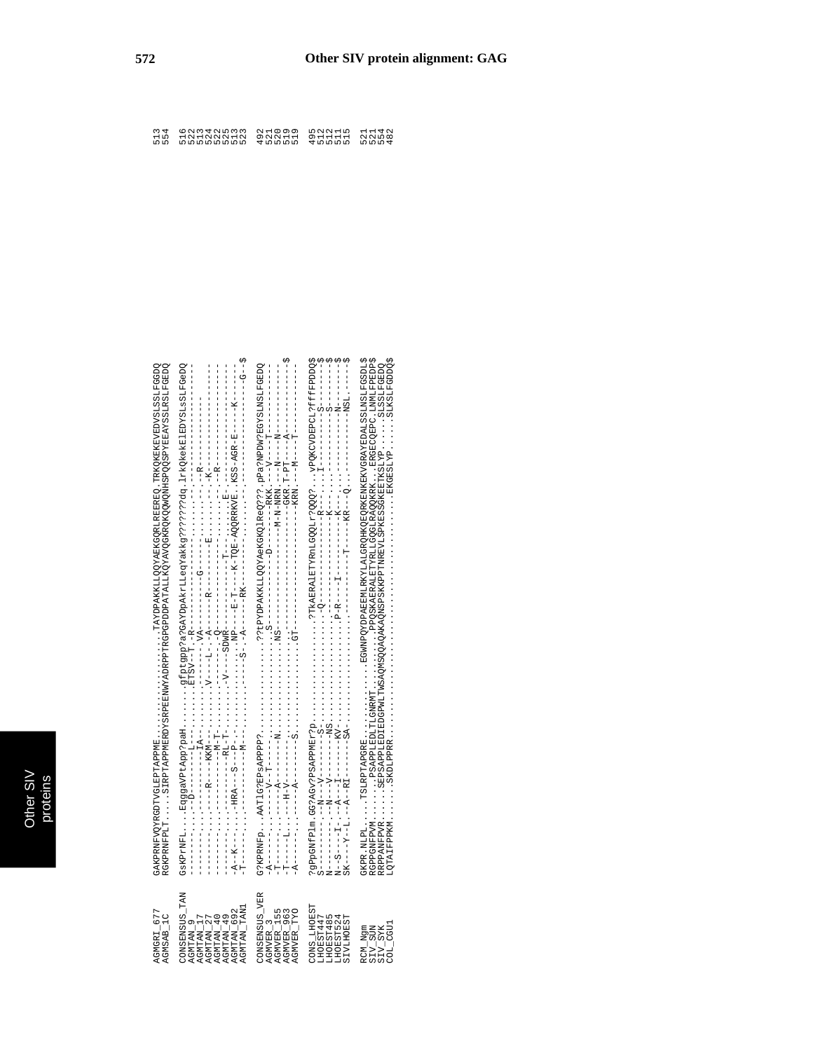| AGMGRI 677<br>AGMSAB_1C                                                                                                  | YSRPEENWYAADRPFTRGPGPDDPATALLKQYAVQGKRQKQQWQWHSPQQSPYEEAYSSLRSLFGEDQ<br>OCEPATORATIONALIANING ATERET CERES ANG ANGERIAN SATTES AT ANGERIAN AT ATERS<br>RGKPRNFPLTSIRPTAPPMERDY<br>GAKPRNFVQYRGDTVGLEPTAPPME                                                                                                 | 554                                           |
|--------------------------------------------------------------------------------------------------------------------------|-------------------------------------------------------------------------------------------------------------------------------------------------------------------------------------------------------------------------------------------------------------------------------------------------------------|-----------------------------------------------|
| CONSENSUS TAN<br><b>LNAT_NATINE</b><br>AGMTAN 692<br>AGMTAN_40<br>AGMTAN_17<br>AGMTAN_27<br><b>AGMTAN 49</b><br>AGMTAN_9 |                                                                                                                                                                                                                                                                                                             | 522<br>513<br>524<br>522<br>523<br>525<br>513 |
| CONSENSUS_VER<br>AGMVER_TYO<br>AGMVER_3<br>AGMVER_155<br>AGMVER_963                                                      | CSEPMENTSXPBGINTSRPBF9A34G12:Q9ALQD3AAXQQLLXXA4G1313:                                                                                                                                                                                                                                                       | 492<br>520<br>519<br>519<br>521               |
| CONS LHOEST<br>HOEST485<br>TPPTSEORL<br>HOEST524<br><b>SIVLHOEST</b>                                                     |                                                                                                                                                                                                                                                                                                             | 495<br>andin<br>Radio<br>Radio                |
| SIV_SUN<br>SIV_SYK<br>COL_CGUI<br>RCM_Ngm                                                                                | ; TOGSPATSSTVOSTVOSKYNSKYNSKYNSKYNSKYSKYNSKYSKYNSKYOSPTYTXXXHTWSSKYOOLXXXXXYOSPT<br>TLGNRMTPROSKAERALETYRLLGQGLRAQOKRKERGECQEPC.LMMLFPEDP;<br>EDGPMLTMSAQQQQQAQAKAQNSPSKKPPTRREVLSPKESSGKEETKSLYPSLSSLFGEDQ<br>GKPR.NLPLTSLRPTAPGRE<br>RRPPANFPVRSEPSAPPLEDIE<br>LQTAIFPPKMSKDLPPRR<br>RGPPGNFPVMPSAPPLEDLY | 524<br>554<br>482<br>521                      |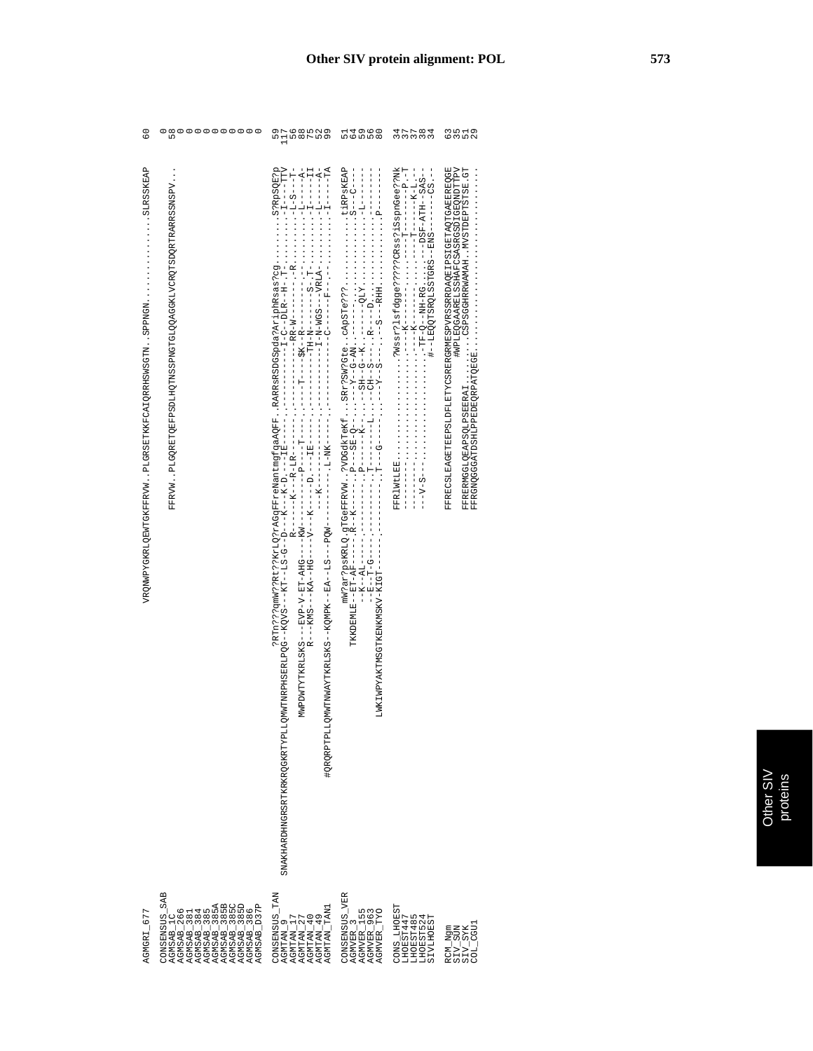| $\frac{0}{6}$                                                                                  | ต ๐ ๐ ๐ ๐ ๐ ๐ ๐ ๐ ๐<br>เก                                                                                                                                                                                                                                                                                                                                                                                                           | er<br>Namerne<br>Mand                                                                                                                                  | 6558<br>4960                                                              | 333338                                                                 | 6<br>6<br>6 7 10 9                                                                                                                                                   |
|------------------------------------------------------------------------------------------------|-------------------------------------------------------------------------------------------------------------------------------------------------------------------------------------------------------------------------------------------------------------------------------------------------------------------------------------------------------------------------------------------------------------------------------------|--------------------------------------------------------------------------------------------------------------------------------------------------------|---------------------------------------------------------------------------|------------------------------------------------------------------------|----------------------------------------------------------------------------------------------------------------------------------------------------------------------|
| SLRSSKEAP<br>VRQNWPYCKFFWLQEKFFFXW. PLGRSETKKFCAIQRETNE . SPPPMGPHSPNONFXCHKRLQEWFFFXW. SPPPMG | FFRVMPLGORETOEFPSDLHOTNSPNGTGLOOAGGKLVCROTSDORTFARRSSNSPV                                                                                                                                                                                                                                                                                                                                                                           |                                                                                                                                                        |                                                                           |                                                                        | FFREQUETERQUETERULPHETTERGRERVESRVRSSRRDAQEIPSITERQTGEREREQUE<br>#WPLEQGAARELSSHAFCSASRGSDIGEQNDTTPV<br>IRECONOCOMPORATIONS AT A CHARGE IN A CONSTRUCTION CONTINUES. |
| AGMGRI 677                                                                                     | <b>SAB</b><br>$\begin{array}{l} \texttt{AGMBAB\_1C} \\ \texttt{AGMBAB\_2866} \\ \texttt{AGMBAB\_3841} \\ \texttt{AGMSAB\_385} \\ \texttt{AGMSAB\_385} \\ \texttt{AGMSAB\_385} \\ \texttt{AGMSAB\_385} \\ \texttt{AGMSAB\_385} \\ \texttt{AGMSAB\_385} \\ \texttt{AGMSAB\_385} \\ \texttt{AGMSAB\_385} \\ \texttt{AGMSAB\_385} \\ \texttt{AGMSAB\_385} \\ \texttt{AGMSAB\_385} \\ \texttt{AGMSAB\_385} \\ \text$<br><b>CONSENSUS</b> | CONSENSUS TAN<br>$\begin{array}{l} \text{AGMTAN\_40} \\ \text{AGMTAN\_49} \\ \text{AGMTAN\_TAN1} \end{array}$<br>AGMTAN_2<br>AGMTAN_1<br><b>AGMTAN</b> | CONSENSUS_VER<br>AGMVER_3<br>AGMVER_155<br>AGMVER_963<br><b>OXL</b> BEANS | CONS_LHOEST<br>LHOEST447<br>LHOEST485<br>LHOEST524<br><b>SIVLHOEST</b> | $\begin{array}{l} \texttt{RCM\_Ngm} \\ \texttt{SIV\_SUN} \\ \texttt{SIV\_SIX} \\ \texttt{SIV\_SIX} \\ \texttt{COL\_CGU1} \end{array}$                                |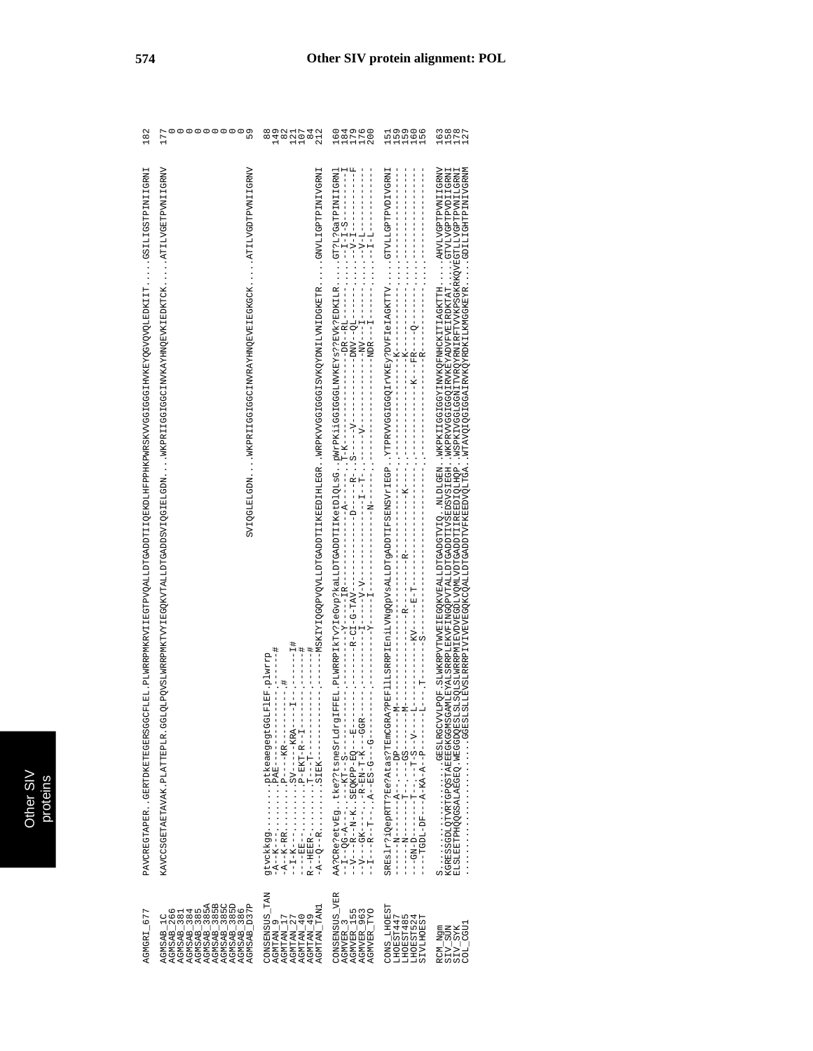| AGMGRI_677                                                                                                                                                                                                                                                                                                                                                                                         | PAVCREGTAPERGERTDKETEGERSGGCFILE_FLMERPMKRRVILEGTPVQGTPVCALLDTGADDTIIQEKPDHKPWRSKVVGGJENKENVGQTEVKEYQQJEDKIITTGSTADENIIGRNI                                                                                                                      | 182                                                |
|----------------------------------------------------------------------------------------------------------------------------------------------------------------------------------------------------------------------------------------------------------------------------------------------------------------------------------------------------------------------------------------------------|--------------------------------------------------------------------------------------------------------------------------------------------------------------------------------------------------------------------------------------------------|----------------------------------------------------|
| $\begin{array}{l} \texttt{AGM3AB\_1C} \\ \texttt{AGM3AB\_286} \\ \texttt{AGM3AB\_384} \\ \texttt{AGM3AB\_384} \\ \texttt{AGM3AB\_385} \\ \texttt{AGM3AB\_385} \\ \texttt{AGM3AB\_385} \\ \texttt{AGM3AB\_385} \\ \texttt{AGM3AB\_385} \\ \texttt{AGM3AB\_385} \\ \texttt{AGM3AB\_385} \\ \texttt{AGM3AB\_385} \\ \texttt{AGM3AB\_385} \\ \texttt{AGM3AB\_385} \\ \texttt{AGM3AB\_385} \\ \texttt{$ | KANCCSGETRAK PLATTERPLA. GGLOLOLOROVSLMRRPMKTVYIEGOKVTALLDTGADDSVIQGIBLGV MKPRIIGGCIGKCINVKAYHNQEVKIEDKTCKATIIVGETGRTVIAIIGRVV<br>NAGEDENT CONTRODERIER HITRANDER ER EIGGEBEN EIGGEBEN EIGEREN ER EIGEN ER EIGDEN EN STELLEN EIGDEN EIGGEREN EIG | ,00000000<br>59<br>177                             |
| CONSENSUS_TAN<br>AGNTAN_9<br>AGNTAN_17<br>AGNTAN_27<br>AGNTAN_49<br>AGNTAN_49<br>AGNTAN_TAN1                                                                                                                                                                                                                                                                                                       | NINGRATYIQUQQDVQQQDVQQQDDQLILDDQLILNGBDIQNQXVXQYQQUDQQCVXXQXVXDVQVOHQQQXXXQQDVQVQXVXVQXXVXVQXXXVQXXX<br>井口 - - - - - - - - - - - -<br>サー・ーーーー コーーー                                                                                               | $\frac{8}{8}$<br>149<br>$82$<br>$11742$<br>$21742$ |
| CONSENSUS_VER<br>AGMVER_3<br>AGMVER_155<br>AGMVER_963<br>AGMVER_TYO                                                                                                                                                                                                                                                                                                                                |                                                                                                                                                                                                                                                  | 111112<br>68770<br>08770                           |
| CONS_LHOEST<br>LHOEST447<br>LHOEST485<br>LHOEST524<br><b>SIVLHOEST</b>                                                                                                                                                                                                                                                                                                                             |                                                                                                                                                                                                                                                  | a<br>nnon<br>nnon<br>151                           |
| $\begin{array}{l} \texttt{RCM\_Ngm} \\ \texttt{SIV\_SUM} \\ \texttt{SIV\_SVK} \\ \texttt{COL\_GU1} \end{array}$                                                                                                                                                                                                                                                                                    | . GGESLIERVELARRE IVITENGGKCOALLDTGADDTVFKEEDVOLTGA. WTAVOIQGIGGAIRVKOVRDKILKKMGGKEYR. GDILIIGHTPINIVGRMM<br>ELSTLETPERQGOSALABGGDQESLSZNGRAMERANINGRAMENTARAPTOTIZADDITIAREDIQIHQP. WSPKIVOSLGGNITVRQYTRYTARTYTVRSRAMERATIVGPTATVGPINTI         | 11111<br>2022<br>2024                              |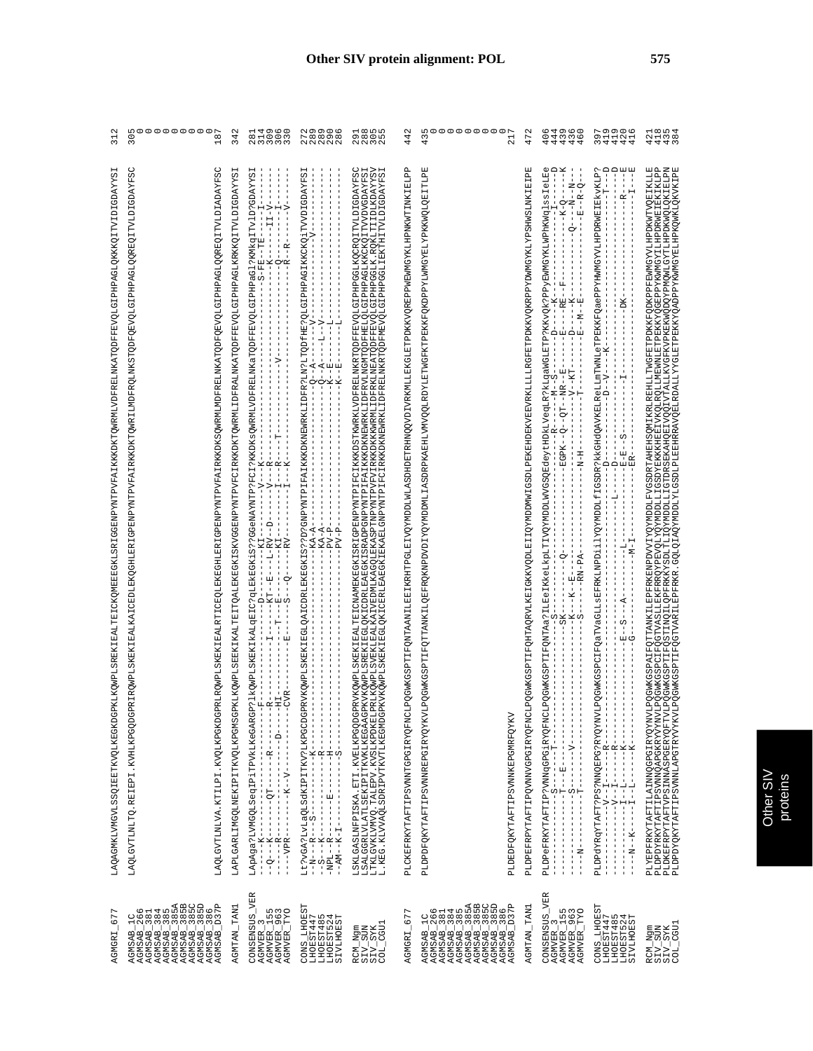| 67<br>AGMGRI                                                                                                                                                                                                                                                                                                                                                                                                                                                      | LAXAANKIVMGYLASAIQIKKOQLKEOGDKILKQWPLASREKILBAITEDICKQMBEBGKKLSRLSGENPYNTPVFAIKKDKTQMRMIVDFRELMKATQDFFFVQLGIPHPAGLQKKKQITITGDXYKSI                                                                                                                                             | N<br>$\overline{31}$                                        |
|-------------------------------------------------------------------------------------------------------------------------------------------------------------------------------------------------------------------------------------------------------------------------------------------------------------------------------------------------------------------------------------------------------------------------------------------------------------------|--------------------------------------------------------------------------------------------------------------------------------------------------------------------------------------------------------------------------------------------------------------------------------|-------------------------------------------------------------|
| $\begin{array}{l} \texttt{AGMSAB} = 2666 \\ \texttt{AGMSAB} = 384 \\ \texttt{AGMSAB} = 385 \\ \texttt{AGMSAB} = 385 \\ \texttt{AGMSAB} = 385 \\ \texttt{AGMSAB} = 385 \\ \texttt{AGMSAB} = 385 \\ \texttt{AGMSAB} = 385 \\ \texttt{AGMSAB} = 385 \\ \texttt{AGMSAB} = 385 \\ \texttt{AGMSAB} = 385 \\ \texttt{AGMSAB} = 385 \\ \texttt{AGMSAB} = 385 \\ \texttt{AGMSAB} = 385 \\ \texttt{AGMSAB} = 385 \\ \text$<br>U W<br>$\bar{\mathbb{E}}$<br>AGMSAB<br>AGMSAB | ပ္ပ<br>LAQLOVTINIVA.KTILPI.KVQLKPGKDGPRIRQWPLRZNFIRALTERITERQGFEKIERITERTEVFAIRKKDKSQWRMLMDFRELMKATQDFQEVGLGIPHPAGLQQREQITVIDIADAYFSC<br>GDAYF<br>GPRIRQWPLSKEKIEALKAICEDLEKQGHLERIGPENPYNTPVFAIRKKDKTQWRILMDFRQLMKSTQDEVGLDEPAGLQQREQQITVLDI<br>LAQLGVTLNLTQ.REIEPI.KVHLKPGQD | moooooooor<br>$\infty$<br>$\overline{30}$<br>$\overline{ }$ |
| AGMTAN_TAN1                                                                                                                                                                                                                                                                                                                                                                                                                                                       | LAPLOARLINEKIPITKVQLKPGNSGPKLKQWPLSEEKIKAITEITQALEKEGKISKVGGENPYNTPVFCIRKKDKTQWRMLIDFRALMKATQDFFEVQLGIPHPAGLKRKKQITVLDIGDAYYSI                                                                                                                                                 | 342                                                         |
| <b>VER</b><br>1967<br>1967<br>1961<br>CONSENSUS<br>$\frac{5}{19}$<br>$\tilde{\mathcal{L}}$<br>AGMVER<br>AGMVER<br><b>AGMVER</b><br><b>AGMVER</b>                                                                                                                                                                                                                                                                                                                  | LApAga?LVMGQLSeqIPiTPVkLKeGAR<br>$-R-$<br>$\frac{1}{1}$<br>$\frac{1}{1}$<br>$- -K - -V - -$<br>$---2T$<br>T<br>$\frac{1}{1}$<br>H.<br>$\frac{1}{1}$<br>L.<br>$\frac{1}{1}$<br>$--VPR-$<br>$-$ K<br>J.                                                                          | 221000<br>11000<br>11000                                    |
| 55<br>CONS_LHOES<br>LHOEST447<br>LHOEST447<br>LHOEST485<br>LHOEST54                                                                                                                                                                                                                                                                                                                                                                                               | 51<br>$\mathbf{I}$                                                                                                                                                                                                                                                             | 788988080808080                                             |
| $\begin{array}{l} \texttt{RCM\_Ngm} \\ \texttt{SIV\_SUM} \\ \texttt{SIV\_SYK} \\ \texttt{SIV\_SYK} \end{array}$                                                                                                                                                                                                                                                                                                                                                   | LSKLGASIMFPISKA. ETI . KVELKPGDGPRVKQNPLSKEKLEALTELCMMEKEGKISRIGPENTETETKKKDSTKNRKLVDFRELMENTQDFEPGLAGCELTVLDUGDAYFSC<br>ISALGGELVLATLSEKIP ITKVKLKBGAAGPKVKQNPLSEEKLEGLOG IOPKLEAEGK EGADPGNPYNTPIFAIKKDKNEWATKLDFRVLMGMTQDGFEPA                                              |                                                             |
| $\overline{ }$<br>- 67<br>AGMGRI                                                                                                                                                                                                                                                                                                                                                                                                                                  | CLEQGYMKGSPTIFQNTAANILEBIKRHTPGLBJIVQYMDDLWLASDHDBTRHNQQVDIVRKMLLEKGLBTPDKKVQREPPWEWMGYKLHPNKWTINKLEIBLPP<br>PLCKEFRKYTAFTIPSVMNTGPGIRYQFN                                                                                                                                     | $\mathbf{\sim}$<br>44                                       |
| $\begin{array}{l} \texttt{AGMSAB} = 1 \texttt{C} \\ \texttt{AGMSAB} = 3 \texttt{86} \\ \texttt{AGMSAB} = 3 \texttt{84} \\ \texttt{AGMSAB} = 3 \texttt{84} \\ \texttt{AGMSAB} = 3 \texttt{85} \\ \texttt{AGMSAB} = 3 \texttt{85} \\ \texttt{AGMSAB} = 3 \texttt{85} \\ \texttt{AGMSAB} = 3 \texttt{85} \\ \texttt{AGMSAB} = 3 \texttt{85} \\ \texttt{AGMSAB} = 3 \texttt{85} \\ \texttt{AGMSAB} = 3 \texttt{85} \\ \texttt{AG$<br>D37P<br><b>AGMSAB</b>            | 7LPQQWKGSPTIFQTTANKILQEFRQKNPDVDYLQYQYMDDMLIASDRPKAEHLVMVQQLRDYLETWGFKTPEKKFQKDPPYLWMGYELYPKKWQLQEITIGFE<br>PLDPDFQKYTAFTIPSVMMREPGIRYQYK<br>PLDEDFQKYTAFTIPSVMMKEPGMRFQYK                                                                                                     | $\frac{1}{2}$<br>$\frac{1}{2}$<br>$\frac{1}{2}$             |
| AGMTAN_TAN1                                                                                                                                                                                                                                                                                                                                                                                                                                                       | CIPQOWKGSPTIRQHTAQHVLKEIGKKVQDLEIIQYMJGSDLEPEKEHDEKVEEVRKLLLLRGFETPDKKVQKRPPYDMMGYKLPFSSHWSLMKIEFE<br>PLDPEFRPYTAFTIPQVMWGPGIRYQFM                                                                                                                                             | 472                                                         |
| CONSENSUS_VER<br>1563<br>1963<br>1951<br>$-3\overline{15}$<br>.<br>ا<br>ا<br><b>AGMVER</b><br><b>AGMVER</b><br><b>AGMVER</b><br><b>AGMVER</b>                                                                                                                                                                                                                                                                                                                     |                                                                                                                                                                                                                                                                                | 64960<br>〇4336<br>4444                                      |
| 55<br>CONS_LHOES<br>LHOEST447<br>LHOEST445<br>LHOEST524<br>LHOEST54                                                                                                                                                                                                                                                                                                                                                                                               |                                                                                                                                                                                                                                                                                | うちょうしょう しょうしん しょうしょう                                        |
| $COL_C$ CGU1<br>$\begin{array}{l} \text{RCM\_Ngm} \\ \text{STV\_SUN} \\ \text{SLV\_SUX} \\ \text{SKK} \end{array}$                                                                                                                                                                                                                                                                                                                                                |                                                                                                                                                                                                                                                                                | 4443<br>4443                                                |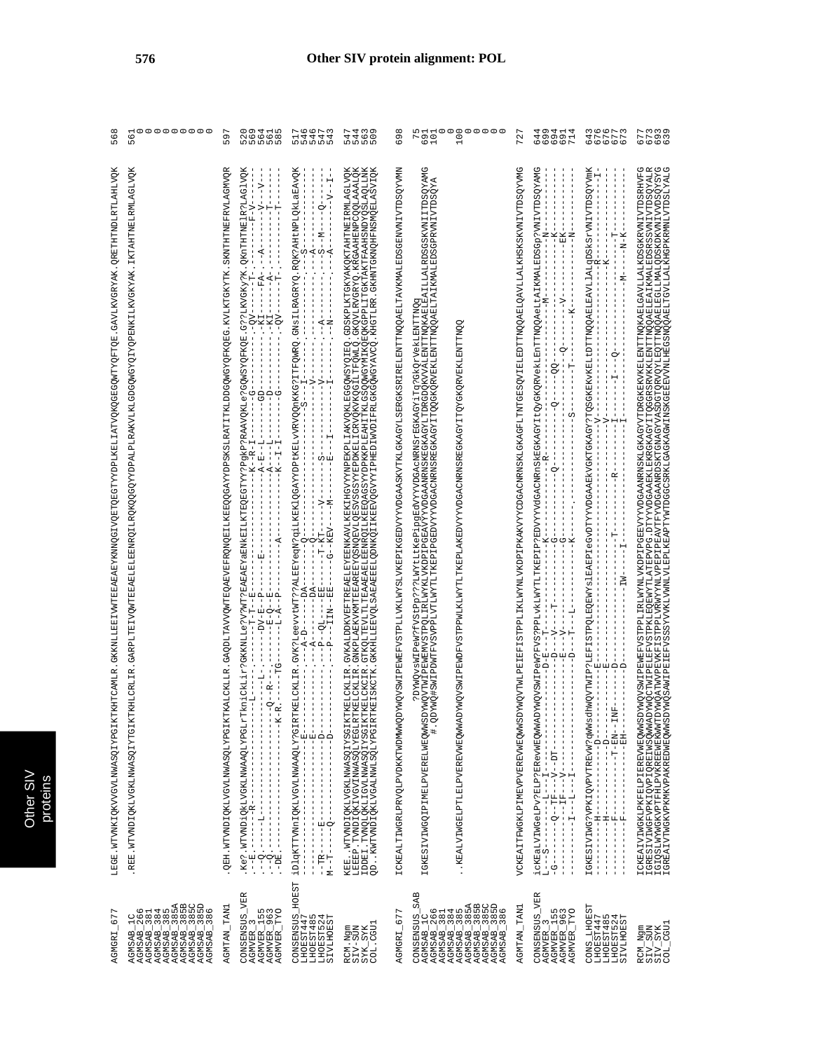| $\overline{ }$<br>67<br>AGMGRI                                                                                                                                                                                                                                                                                                                                                                                               | CHTCAMLR.GKKNILLEETVWTEEABAEYKNNQGIVQETQEGTYYDPLKELLATVQKQGEGQWTYQFTQE.GAVLKVGRYAK.QRETHTNDLATLIVQK<br>LEGE.WTVNKIQKVVGVLWWASQIYPGIKTH                                                                                                                                                                                                                                                                                                            | 56                                                                                                                                                     |
|------------------------------------------------------------------------------------------------------------------------------------------------------------------------------------------------------------------------------------------------------------------------------------------------------------------------------------------------------------------------------------------------------------------------------|---------------------------------------------------------------------------------------------------------------------------------------------------------------------------------------------------------------------------------------------------------------------------------------------------------------------------------------------------------------------------------------------------------------------------------------------------|--------------------------------------------------------------------------------------------------------------------------------------------------------|
| $\begin{array}{l} \texttt{AGM3AD\_1C} \\ \texttt{AGMSAB\_286} \\ \texttt{AGMSAB\_284} \\ \texttt{AGMSAB\_284} \\ \texttt{AGMSAB\_285} \\ \texttt{AGMSAB\_285} \\ \texttt{AGMSAB\_285} \\ \texttt{AGMSAB\_285} \\ \texttt{AGMSAB\_285} \\ \texttt{AGMSAB\_285} \\ \texttt{AGMSAB\_285} \\ \texttt{AGMSAB\_285} \\ \texttt{AGMSAB\_285} \\ \texttt{AGMSAB\_286} \\ \texttt{AGMSAB\_286} \\ \texttt{AGMSAB\_286} \\ \texttt{AG$ | HLCRLIR. GARPLTEIVOWTEEAELELEDERNROILROKOOGOYYDPALPLRAKVLKLGDGOWGYOIYOPENKILKVGKYAK. IKTAHTNELRMLAGLVOK<br>REE.WTVNDIQKLVGKLNWASQIYTGIKT                                                                                                                                                                                                                                                                                                          | <sub>ហ</sub><br>២<br>៣                                                                                                                                 |
| AGMTAN_TAN1                                                                                                                                                                                                                                                                                                                                                                                                                  | KALCKLLR.GAQDLTAVVQWTEQAEVEFRQNQEILKEEQQGAYYDPSKSLRATITKLDDGQWGYQFKQEG.KVLKTGKYTK.SKNTHTNEFRVLAGWVQR<br>QEH.WTVNDIQKLVGVLNWASQLYPGIKT                                                                                                                                                                                                                                                                                                             | 597                                                                                                                                                    |
| CONSENSUS_VER<br>AGMVER_155<br>AGMVER_963<br>AGMVER_TYO<br><b>AGMVER_</b>                                                                                                                                                                                                                                                                                                                                                    | $-1$<br>$-1$<br>$-1$<br>$-1$<br>$-1$<br>$-1$<br>$-1$                                                                                                                                                                                                                                                                                                                                                                                              | 5<br>000000<br>000000                                                                                                                                  |
| <b>HOEST</b><br>CONSENSUS<br>LHOEST447<br>LHOEST485<br>LHOEST485<br>LHOEST524<br>SIVLHOEST                                                                                                                                                                                                                                                                                                                                   | $\begin{minipage}[t]{0.03\textwidth} \begin{tabular}{@{}c@{}} \multicolumn{2}{c}{\textbf{0.04\textwidth} {\bf 1.04\textwidth} {\bf 1.04\textwidth} {\bf 1.04\textwidth} {\bf 1.04\textwidth} {\bf 1.04\textwidth} {\bf 1.04\textwidth} {\bf 1.04\textwidth} {\bf 1.04\textwidth} {\bf 1.04\textwidth} {\bf 1.04\textwidth} {\bf 1.04\textwidth} {\bf 1.04\textwidth} {\bf 1.04\textwidth} {\bf 1.04\textwidth} {\bf 1.04\textwidth} {\bf 1.$      | ちょうりてい<br>コムムムム<br>ロークラフ                                                                                                                               |
| COL.CGU1<br>RCM.Ngm<br>SIV-SUN<br>SYK_SYK                                                                                                                                                                                                                                                                                                                                                                                    | WTWDIQKLVGKLMWASQLYSGLKTKELCKLIR. GVKALDDKVETTREAELEYEBNKAVLKEKIHGVYNPEKPLIAKVQKLEGGQWSYQIEQ. GDSKPLKTGKYAKQKTAHTNEIRWLAGLVQK<br>BP. TWDIQKIVGVINWASQLYSGLKTKELCKLIR. GNKPLAEKVRWTEBREYQSNQBVLQESVSSGSYZEPDKELICRVQKVKQGILTFQW<br>LEBER - TVNDIQKIYGVINNASQLYBGLRTF<br>TDBE - TVNQLQKIJGVINNASQIYSGIKTF<br>QD - KWTVNDIQKIJGALNWLSQLYPGIRTF<br>KEE                                                                                                | ちちうち<br>4460<br>ちょうり                                                                                                                                   |
| 677<br>AGMGRI_                                                                                                                                                                                                                                                                                                                                                                                                               | ICKEALTIWGRLPRVQLPVDKKTWDMWWQD                                                                                                                                                                                                                                                                                                                                                                                                                    | 698                                                                                                                                                    |
| <b>SAB</b><br><b>AGNSAB - 2666</b><br>AGNSAB - 381<br>AGNSAB - 3854<br>AGNSAB - 3854<br>AGNSAB - 3855<br>AGNSAB - 3855<br>AGNSAB - 386<br>AGNSAB - 386<br>AGNSAB - 386<br>CONSENSUS<br>AGMSAB_1C                                                                                                                                                                                                                             | IGKESIVIMGQIPIMEDYWEDYMQVSMIPeM?FVStPp???LWYtLtKePipgBdVYYVDGAcNRNSrEGKAGYiTq?GKQrYekLENTTNQG<br>IGKESIVIMGQIPIMEDYWSDYMQYTWIPEMENVSTPQLIRLWYKLVKDPIPGEAVYYVDGAANRNSKEGKAGYLTDRGDQKVVALENTTNQKAELEAILALRDSGSKVNIITDSQYAMG<br>IGKESIV<br>KEALVIWGELPTLELPVEREVWEQWWAD                                                                                                                                                                              | $\begin{array}{cc}\n\texttt{M} & \texttt{M} & \texttt{M} \\ \texttt{M} & \texttt{M} & \texttt{M} \\ \texttt{M} & \texttt{M} & \texttt{M}\n\end{array}$ |
| AGMTAN_TAN1                                                                                                                                                                                                                                                                                                                                                                                                                  | VCKBAITFWGKLBINFVENTALANALANALANG SEDERTARANAN MENGHALANG SERIKAN SERIKAN SERIKAN SERIKAN DENGHALANG SERIKAN D                                                                                                                                                                                                                                                                                                                                    | 727                                                                                                                                                    |
| CONSENSUS_VER<br>AGMVER_3<br>AGMVER_155<br>AGMVER_963<br>AGMVER_TYO                                                                                                                                                                                                                                                                                                                                                          |                                                                                                                                                                                                                                                                                                                                                                                                                                                   | ものあられる<br>そののでしょう                                                                                                                                      |
| CONS_LHOEST<br>LHOEST447<br>ru 4<br>LHOEST48<br>LHOEST52<br>īΩ<br>SIVLHOE                                                                                                                                                                                                                                                                                                                                                    | $\begin{split} &\frac{1}{2} \left( \frac{1}{2} \left( \frac{1}{2} \right) + \frac{1}{2} \left( \frac{1}{2} \right) + \frac{1}{2} \left( \frac{1}{2} \right) + \frac{1}{2} \left( \frac{1}{2} \right) + \frac{1}{2} \left( \frac{1}{2} \right) + \frac{1}{2} \left( \frac{1}{2} \right) + \frac{1}{2} \left( \frac{1}{2} \right) + \frac{1}{2} \left( \frac{1}{2} \right) + \frac{1}{2} \left( \frac{1}{2} \right) + \frac{1}{2} \left( \frac{1}{$ | 847777<br>847777<br>86666                                                                                                                              |
| RCM_Ngm<br>SIV_SUN<br>SIV_SYK<br>COL_CGU1                                                                                                                                                                                                                                                                                                                                                                                    | I CKEALVIMGKI PKEELIERDWEDWASDWACYSNI PEWEYSTPPLIELWYMI VKDPI PGEBYYYVDGAAMENSKI GKAGYTTDRGKEKVKELEMTINGKAELGAVILALKO SGKEVNIVTDSKHYPG<br>I GRES I VI MGFYPKI QVP I QREI WSQWADYWQUSWI PEDERST PKEMI TATEPYP OG I TY YVDGAAEKI GK                                                                                                                                                                                                                 | 7<br>7793<br>6000                                                                                                                                      |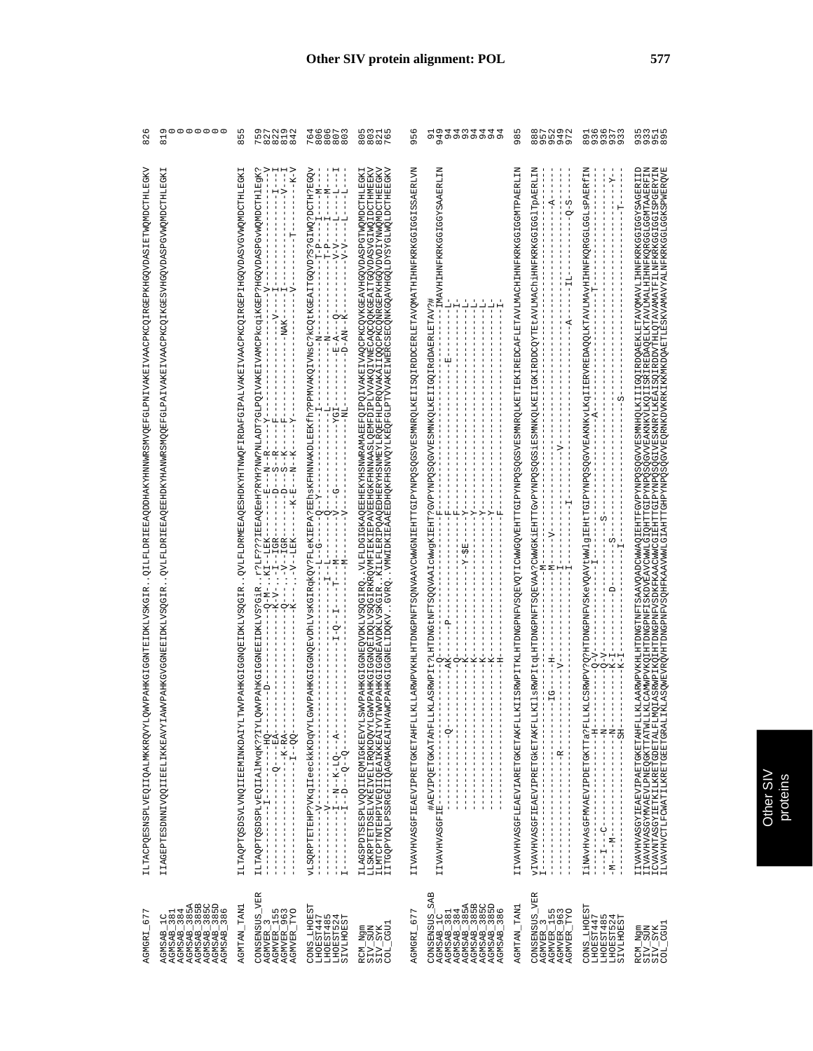| 677<br>AGMGRI                                                                                                                                                                                                                                                                                                                                                                                                       | V STETETDOORTETE AGTVOORING EEN OP DE GEDE VAN EEN AARTE VAN DE GEDE KERPER VOOR GE TE GEDE GEDE GEDE VAN DE G<br>WVPAHKGIGGNTEIDKLVSKGIR<br>ILTACPQESNSPLVEQIIQALMKKRQVYLQ                                                                                                                                                                                                                                                                                                                                                                                                                                                                                                                                                                                                                                                                                                                                                                                                                                                                                                                                                                                                                                                                                                                                    | $\mathbf{\Omega}$<br>$\infty$                               |
|---------------------------------------------------------------------------------------------------------------------------------------------------------------------------------------------------------------------------------------------------------------------------------------------------------------------------------------------------------------------------------------------------------------------|----------------------------------------------------------------------------------------------------------------------------------------------------------------------------------------------------------------------------------------------------------------------------------------------------------------------------------------------------------------------------------------------------------------------------------------------------------------------------------------------------------------------------------------------------------------------------------------------------------------------------------------------------------------------------------------------------------------------------------------------------------------------------------------------------------------------------------------------------------------------------------------------------------------------------------------------------------------------------------------------------------------------------------------------------------------------------------------------------------------------------------------------------------------------------------------------------------------------------------------------------------------------------------------------------------------|-------------------------------------------------------------|
| AGMSAB_385A<br>AGMSAB_385B<br>AGMSAB_385C<br>AGMSAB_385D<br>AGMSAB_386<br>AGMSAB_1C<br>AGMSAB_381<br>AGMSAB_384                                                                                                                                                                                                                                                                                                     | WVPAHKGVGGNEEIDKLVSQGIR<br>IIAGEPTESDNNIVQQIIEELIKKEAVYIA                                                                                                                                                                                                                                                                                                                                                                                                                                                                                                                                                                                                                                                                                                                                                                                                                                                                                                                                                                                                                                                                                                                                                                                                                                                      | 00000000<br>$\overline{a}$                                  |
| AGMTAN TAN1                                                                                                                                                                                                                                                                                                                                                                                                         | . QVLFLDRMEEAOESHDKYHTMWQFIRDAFGIPALVAKEIVAACPKCQIRGEPIHGQVDASVGVWQMDCTHLEGKI<br>WVPAHKGIGGNQEIDKLVSQGIR<br><b>ILTAQPTQSDSVLVNQIIEEMINKDAIYLT</b>                                                                                                                                                                                                                                                                                                                                                                                                                                                                                                                                                                                                                                                                                                                                                                                                                                                                                                                                                                                                                                                                                                                                                              | L<br>L<br>$\infty$                                          |
| CONSENSUS_VER<br>AGMVER_3<br>AGMVER_155<br>AGMVER_963<br><b>TYO</b><br><b>AGMVER</b>                                                                                                                                                                                                                                                                                                                                | ⋗<br>$\begin{array}{c} \mathbf{I}--\mathbf{X}--\mathbf{I}\\ \mathbf{I}--\mathbf{X}-\mathbf{A}\\ \mathbf{I}--\mathbf{X}-\mathbf{A} \end{array}$<br>Λ.<br>$\blacksquare$<br>Ė<br>$-1 - 5$<br>- 설립<br> -<br> -<br>က်က် ဆုံ<br>$\frac{1}{1}$<br>ฅ่ค่ค่ฅ่<br>! ! ! ¤<br>! ! ! !<br>$\mathbf{L}$<br>$\overline{\phantom{a}}$<br>$\blacksquare$<br>闰<br>$\overline{\phantom{a}}$<br>п<br>J.<br>-- XET----<br>II & & AT<br>$\frac{1}{2} - \frac{1}{2} = \frac{1}{2}$<br>$\frac{1}{2} - \frac{1}{2} - \frac{1}{2} = \frac{1}{2}$<br>$\frac{1}{2} - \frac{1}{2} = \frac{1}{2}$<br>$\frac{1}{2} - \frac{1}{2} = \frac{1}{2}$<br>$\frac{1}{2} - \frac{1}{2} = \frac{1}{2}$<br>FI5<br>r?<br>KI<br>ILTAQPTQSDSPLvEQIIAlMvqK??IYLQ<br>$- - 2 - - - - - - - - - - - -$<br>$\,$ I<br>$\frac{1}{1}$<br>$-1$ $-1$ $-1$ $-1$<br>J<br>$\frac{1}{4}$<br>$\frac{1}{1}$<br>$\frac{1}{1}$<br>$\mathsf I$<br>$\overline{\phantom{a}}$<br>$\frac{1}{1}$<br>J<br>J<br>-1<br>J.<br>Ť.<br>Ť<br>$\overline{\phantom{a}}$                                                                                                                                                                                                                                                                                                                      | 9 7 9 9 9<br>52214<br>$P \infty$ $\infty$ $\infty$ $\infty$ |
| $\frac{\text{CONS}_{\text{LHOEST47}}}{\text{LHOEST447}}$<br>SIVLHOEST                                                                                                                                                                                                                                                                                                                                               | н<br>Ţ<br>$- -M - -$<br>부<br>부<br>$\frac{1}{1}$<br>$-1 - 1 - 1$<br>ŧ<br>$-1$<br>н<br>$\frac{1}{1}$<br>$\mathbf{I}$<br>$\frac{1}{1}$<br>Α΄<br>Η Η<br>!!!<br>$-1 - -1 - 1$<br>$-1 - 1 - 1$<br>Ť.<br>$\mathbf I$<br>$\mathsf I$<br>$\mathbf{I}$<br>$\overline{\phantom{a}}$<br>- 1<br>- 1<br>т.<br>$\blacksquare$<br>$\begin{array}{r} - - E - \widetilde{A} - - - Q - - \\ - - D - \widetilde{A} N - - K - - \end{array}$<br>$\mathbf{I}$<br>- 1<br>$\mathsf I$<br>Ť<br>$\frac{1}{2}$<br>п<br>$\mathsf I$<br>$\,$ I<br>$\mathbf{I}$<br>J,<br>$\frac{1}{1}$<br>$\,$ I<br>$\mathbb T$<br>÷.<br>$\frac{1}{4}$<br>$\mathbf{I}$<br>Ť.<br>占<br>$T5X--$<br>$-101-$<br>ł<br>Ť<br>$\overline{\phantom{a}}$<br>$\frac{1}{1}$<br>$\mathbf{I}$<br>$\mathbf{I}$<br>$\overline{\phantom{a}}$<br>Ħ<br>$\mathbf{I}$<br>$-5 - 7$<br>Ţ<br>Ť<br>EPA?1<br>$\circ$<br>$\frac{1}{\sqrt{2}}$<br>$\frac{1}{1}$<br>$\mathbf{I}$<br>Т<br>$\frac{1}{1}$<br>$\overline{\phantom{a}}$<br>$\mathbf{I}$<br>п<br>1<br>$\overline{\phantom{a}}$<br>$-1$<br>$\frac{1}{1}$<br>$-1$<br>Ţ<br>י<br>י<br>$\mathbf I$<br>$\mathbf{I}$<br>$-1 - 2 - 1 - 1$<br>$\mathbb{I}$<br>$\mathbf{I}$<br>- 1<br>$\mathbf{I}$<br>$\mathbb T$<br>$\mathbf{I}$<br>ţ<br>$\frac{1}{1}$<br>$\mathbf{I}$<br>$\mathsf I$<br>ţ<br>$\begin{bmatrix} 1 \\ 1 \\ 1 \end{bmatrix}$ | 60000<br>$\Gamma$ $\infty$ $\infty$ $\infty$                |
| $\begin{array}{l} \texttt{RCM\_Ngm} \\ \texttt{SIV\_SUM} \\ \texttt{SIV\_SVK} \\ \texttt{COL\_GU1} \end{array}$                                                                                                                                                                                                                                                                                                     | WVPAHKGIIGGNEQVDKLVSQGIRQVLFLDGIGKAQEEHEKYHSWNRAMAEEPQIVAKEIVAQCPKCQVKGEAVHGQVDASPGTWQMDTHLEGKI<br>WVPAHKGIIGGNOEIDQLVSQGIRKRQVMFIEKIEPAVEEHEKFHNNAASLQEMFDIFDLVVAKQIVMEQSQQQKGEAITGQVDASPGTWQUDTHMEEKV<br>WCPAHKGIIGGNOEIDQKVG<br>ILAGSPDTSERELDQOIIEQMIKEEVELS<br>LLSKRPTETDSELVKEIVELERQKONVOLG<br>I LMTCPTNTEHP I VEQ I I QEA IKKEA I YVT<br>I I TGQPYDQLPSSRGE I I QAGMAKEA I HVA                                                                                                                                                                                                                                                                                                                                                                                                                                                                                                                                                                                                                                                                                                                                                                                                                                                                                                                         | 50255<br>$\infty$ $\infty$ $\infty$ $\sim$                  |
| 677<br>AGMGRI_                                                                                                                                                                                                                                                                                                                                                                                                      | KLLARWPVKHLHTDVKBPNFYCQWAANCMWHSNTETCHTTGTVFXDPQSQGSVBSWMPGNTESQIFXEDDGERLETAVQMATHIHNFKRKGGIGGISSAERLVM<br>I IVAVHVASGFIEAEVIPRETGKETAHFLL                                                                                                                                                                                                                                                                                                                                                                                                                                                                                                                                                                                                                                                                                                                                                                                                                                                                                                                                                                                                                                                                                                                                                                    | G<br>S<br>$\sigma$                                          |
| <b>SAB</b><br>$\begin{array}{l} \texttt{CONSEINSUS\_SA} \\ \texttt{AGMSAB\_1C} \\ \texttt{AGMSAB\_384} \\ \texttt{AGMSAB\_384} \\ \texttt{AGMSAB\_385} \\ \texttt{AGMSAB\_385} \\ \texttt{AGMSAB\_385} \\ \texttt{AGMSAB\_385} \\ \texttt{AGMSAB\_385} \\ \texttt{AGMSAB\_385} \\ \texttt{AGMSAB\_385} \\ \texttt{AGMSAB\_386} \\ \texttt{AGMSAB\_386} \\ \texttt{AGMSAB\_386} \\ \texttt{AGMSAB\_386} \end{array}$ | ă<br>$\mathbf{I}$<br>부부<br>$\mathbf{I}$<br>$\mathbf{I}$<br>-1<br>i<br>İ<br>ٻ<br>-<br>Ĥ<br>Ţ<br>$\begin{array}{c} \hline \end{array}$<br>Ŧ<br>$\mathbf{I}$<br>$\mathbf{I}$<br>п.<br>$\blacksquare$<br>$\mathbf{I}$<br>$\mathbf{I}$<br>$\mathbf{I}$<br>$\mathbf{I}$<br>J<br>÷<br>$\frac{1}{1}$<br>ł<br>$\mathbf{I}$<br>և և և<br>$X$ – –<br>7 – –<br>$X -$<br>$X -$<br>Ŀ,<br>Ť<br>$\frac{1}{1}$<br>Ţ<br>$15-$<br>Ť<br>$Y -$<br>$\mathbf{I}$<br>$\mathsf I$<br>$\mathbf{I}$<br>$\mathbf{I}$<br>- 11<br>$\mathbf{I}$<br>$\mathbf I$<br>÷<br>$\frac{1}{1}$<br>$\mathbf{I}$<br>Ť<br>-1<br>J,<br>$\frac{1}{1}$<br>f.<br>$-25$<br>모<br>$\overline{\phantom{a}}$<br><b>KLASRWP</b><br>$\mathbf{I}$<br>$\mathbf{I}$<br>п<br>#AEVIPQETGKATAhFLL<br>í<br>$\frac{1}{1}$<br>ţ<br>$\frac{1}{1}$<br>$\frac{1}{1}$<br>$\frac{1}{1}$<br>$\mathsf I$<br>$\frac{1}{2}$<br>$\begin{bmatrix} 1 \\ 1 \\ 1 \\ 1 \end{bmatrix}$<br>$\mathsf I$<br>п<br>Ť<br>$\frac{1}{1}$<br>$\mathbf{I}$<br>I<br>$\frac{1}{1}$<br>l,<br>IIVAVHVASGFIE                                                                                                                                                                                                                                                                                                   | 194434444<br>のずののののののの<br>Ō                                 |
| TAN1<br><b>AGMTAN</b>                                                                                                                                                                                                                                                                                                                                                                                               | KIISRWPITTKIJHDNOPNFVSQBVQTICWWGQVBHTTGIPYGSQGSVBSWNRQIJKBTIEKIRDCAFTLBXJAVJJACHIHNFKRKGGIGTNTPABRIJN<br>IIVAVHVASGFLEAEVIARETGKETAKFLL                                                                                                                                                                                                                                                                                                                                                                                                                                                                                                                                                                                                                                                                                                                                                                                                                                                                                                                                                                                                                                                                                                                                                                        | L<br>${}^{\circ}$<br>$\sigma$                               |
| CONSENSUS_VER<br>AGMVER_3<br>AGMVER_155<br>AGMVER_963<br><b>DAL</b><br><b>AGMVER</b>                                                                                                                                                                                                                                                                                                                                | п<br>$-4$<br>$0 - 5$<br>$\mathsf I$<br>$\mathbf{I}$<br>$-11$<br>$\mathbf{I}$<br>$\mathsf I$<br>÷,<br>J.<br>-1<br>$\Delta$<br>-1<br>$\mathbf{I}$<br>$\mathbf{I}$<br>$\mathbf{I}$<br>-1<br>$\mathbf{I}$<br>-1<br>$\mathbf{I}$<br>Ţ<br>$\frac{1}{2}$<br>J<br>J.<br>$\mathsf I$<br>-1<br>п.<br>$\mathbf{H}$<br>$\mathbf I$<br>$\mathbf{I}$<br>$-7$<br>$\mathsf I$<br>$\begin{array}{cccccccccc} . & . & . & . & . \\ & . & . & . & . \\ & & . & . & . & . \\ & & . & . & . & . \\ & & & . & . & . \\ \end{array}$<br>$\overline{\phantom{a}}$<br>$\overline{\phantom{a}}$<br>$\mathbf{I}$<br>п.<br>J.<br>$\mathbf{1}$<br>j.<br>$\mathbf{I}$<br>Ţ<br>$\mathbf{1}$<br>-11<br>-1<br>$\mathbf{I}$<br>$-1$<br>$\overline{\phantom{0}}$<br>$\mathsf I$<br>$-1G-$<br>I<br>ï<br>İ<br>$\frac{1}{1}$<br>$-1$ $-1$ $-1$ $-1$ $-1$ $-1$ $-1$ $-1$<br>$\frac{1}{1}$<br>J<br>$\overline{\phantom{a}}$<br>I<br>J<br>$\frac{1}{1}$<br>J.<br>ł<br>T.                                                                                                                                                                                                                                                                                                                                                                                | $\infty \cap \cap \cap \cap$<br>85547<br>                   |
| CONS_LHOEST<br>LHOEST447<br><b>LHOEST485</b><br>LHOEST524<br>SIVLHOEST                                                                                                                                                                                                                                                                                                                                              | ERVREDAQQLKTAVLMAVHIHNFKQRGGLGGLSPAERfIN<br>ř<br>т<br>$\mathbf{I}$<br>י<br>ד<br>1<br>ł,<br>$\blacksquare$<br>$\mathbf{I}$<br>Ţ.<br>т<br>$\blacksquare$<br>Ť.<br>$\mathsf I$<br>$\mathbf{I}$<br>т.<br>$\blacksquare$<br>L<br>ł,<br>-1<br>$\mathbf{I}$<br>$\begin{array}{c} \hline \end{array}$<br>L.<br>$\blacksquare$<br>ုံ ဗုံ<br>L.<br>$\blacksquare$<br>L<br>т.<br>Ť.<br>т<br>$\frac{1}{2}$<br>$\blacksquare$<br>-<br>Ť.<br>$\mathbf I$<br>ł.<br>1<br>$\mathbf{I}$<br>ŧ<br>Ť<br>$\overline{1}$<br>L<br>w<br>$\mathbf{I}$<br>Ι.<br>ŧ<br>- 1<br>п<br>w<br>J.<br>$\blacksquare$<br>Ť<br>$\frac{1}{1}$<br>ŧ<br>$\blacksquare$<br>$\mathsf I$<br>$-1$<br>$\mathbf{I}$<br>$\mathbf{I}$<br>$\overline{\phantom{a}}$<br>Ť.<br>ł<br>- 1<br>Ι.<br>$\begin{array}{c}\n-5x - 3x - - - \\ -2x - -1 \\ -2x - -1 \\ -2x - -1\n\end{array}$<br>J.<br>L<br>L.<br>-1<br>IiNAvHvAsGFMVAEVIPDETGKTTa?FLL<br>- - エー・・・・<br>$-1 - N - 1$<br>T.<br>$\mathsf I$<br>$\frac{1}{1}$<br>÷<br> <br>$\frac{1}{1}$<br>ï<br>Ť.                                                                                                                                                                                                                                                                                                              | 16673<br>on mmm<br>$\infty$ のののの                            |
| RCM_Ngm<br>SIV_SUN<br>SIV_SYK<br>COL_CGU1                                                                                                                                                                                                                                                                                                                                                                           | I LYANIYASGI ISABI LIRAK KELAHELIKLAARWEVEHIDNGTNETSAAVOADCWAQ LEHTFOFFNDSOGVVESNNHOLK I LIGO IEDOARKLETAVOMAVL<br>I LOVANIYASGI LEHTFOFFND ISABI LIRAK KELAHENGTNET ISABI LIRAK KELAH ISABI LIRAK KELAH ISABI LIRAK KELAH ISABI<br>SOMEVROVHTDNGPNFVSOHFKAAVWWLGIAHTTGHAYADOSOGVVEORNKDVKRKIKKNKDOAETLESKVAMAVYALMFKRKGGLGGKSPWERQVE<br>ILVAVHVCTLFCWATILKRETGEETGRALI                                                                                                                                                                                                                                                                                                                                                                                                                                                                                                                                                                                                                                                                                                                                                                                                                                                                                                                                        | 5<br>3 3 4 5<br>5 9 5 9<br>თთთდ                             |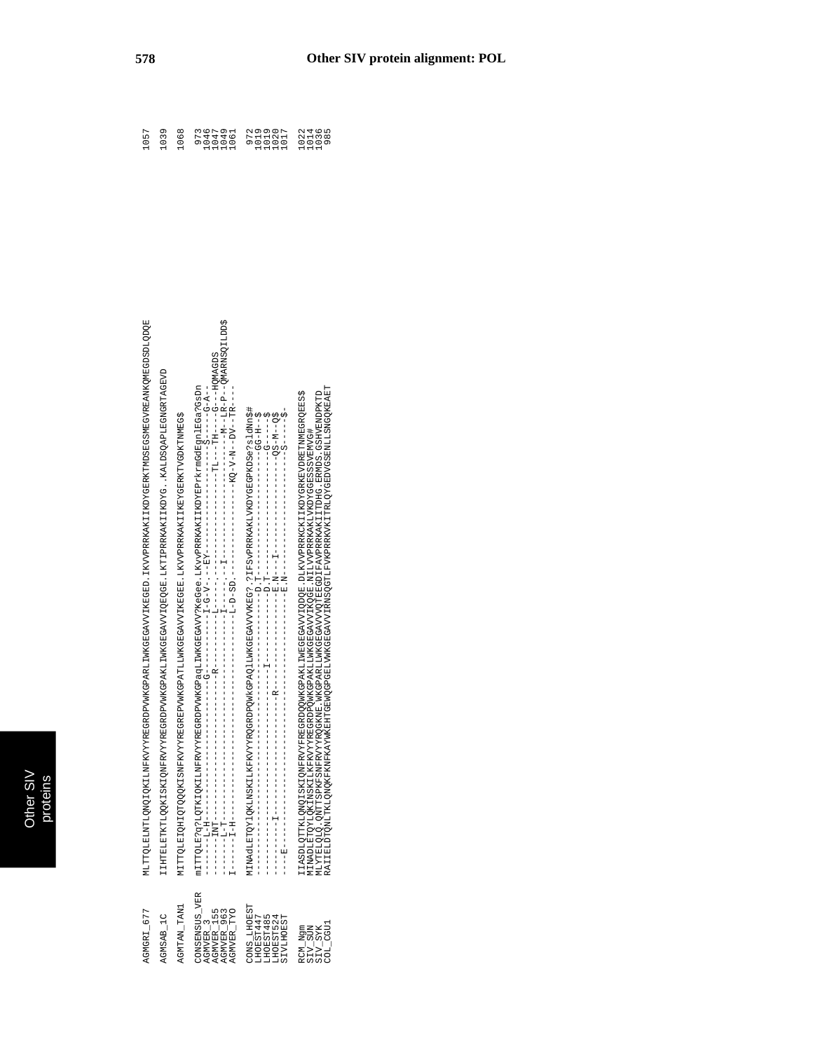| AGMGRI_677                                                                    | MLTTTQLAINQIQKIIMRYYYYREGROPVWKGPARLIWKGBQAVVIKGEGRD.IKVVPRRKAKIIKDYGERKTWDSEGVRERQVNEGDSDLQQD                                                                                                                                                                                                                                                                                                                                      |
|-------------------------------------------------------------------------------|-------------------------------------------------------------------------------------------------------------------------------------------------------------------------------------------------------------------------------------------------------------------------------------------------------------------------------------------------------------------------------------------------------------------------------------|
| AGMSAB_1C                                                                     | IHTELETKTLQQKISKIQNFRYYYREGRDPVWKGPAKLIWKGEGAVVIQEQGE.IKTIPRRKAKIIKDYGKALDSQAPLEGNGRTAGEVD                                                                                                                                                                                                                                                                                                                                          |
| AGMTAN_TAN1                                                                   | ATTTIQLEIQQQQKISNDYYYYREGREPVWILLAKGEGAVVLIKGBGAVVIKEGEE.LKVVPRRKAKIIKEYGERKIYVGEKNINGGS                                                                                                                                                                                                                                                                                                                                            |
| CNSENSUS_VER<br>AGMVER_155<br>AGMVER_963<br>AGMVER_TYO<br>AGMVER <sub>3</sub> | $\begin{array}{l} \texttt{mITTQLB2} \texttt{q2} \texttt{1} \texttt{Q1} \texttt{K1} \texttt{QK1} \texttt{M}\texttt{F}\texttt{RYYYR} \texttt{R}\texttt{G}\texttt{R}\texttt{Q}\texttt{WK} \texttt{G}\texttt{B}\texttt{Q}\texttt{A}\texttt{WYR}\texttt{R}\texttt{G}\texttt{R}\texttt{Q}\texttt{WYR}\texttt{R}\texttt{G}\texttt{R}\texttt{Q}\texttt{WYR}\texttt{R}\texttt{G}\texttt{R}\texttt{Q}\texttt{WYR}\texttt{R}\texttt{G}\texttt$ |
| TONS_LHOEST<br>TPPTSEOH.<br>LHOEST485<br>LHOEST524<br>SIVLHOEST               | #\$WATPLOYJQKLINSKIIIXEXYYYYARQHOQWDPQWDAQJIWLQPAGVAVAVASOSWATPSTPSFXAXIXIXIGEOSOSOSODALIYS<br>- 1984 - コード・カード・コード・コード エー・エー・エー エー・エー・エー アー・エー・エー エー・エー・エー エー・エー・エー エー・エー・エー エーエー・エー・エー                                                                                                                                                                                                                                            |
| RCM_Ngm<br>SIV_SUN<br>SIV_SYK<br>COL_CGU1                                     | I I ASDLQTTKLQNQ I SK I QNFRYYFREGRDQQWKGPAKLI WEGEGAVVI QDQE . DLKVVPRRKCK I I KDYGRKEVDRETNWEGRQEES\$<br>MINADLETQYLQK I NSK I LKFKVYYFREGRDFQWKGPAKLI MKGEGAVVI KQEE . NI LIVVPRRKAKLVKDYGGESS SYEMVG#<br>RA I I ELDTQNLTKLQNQKFKA                                                                                                                                                                                               |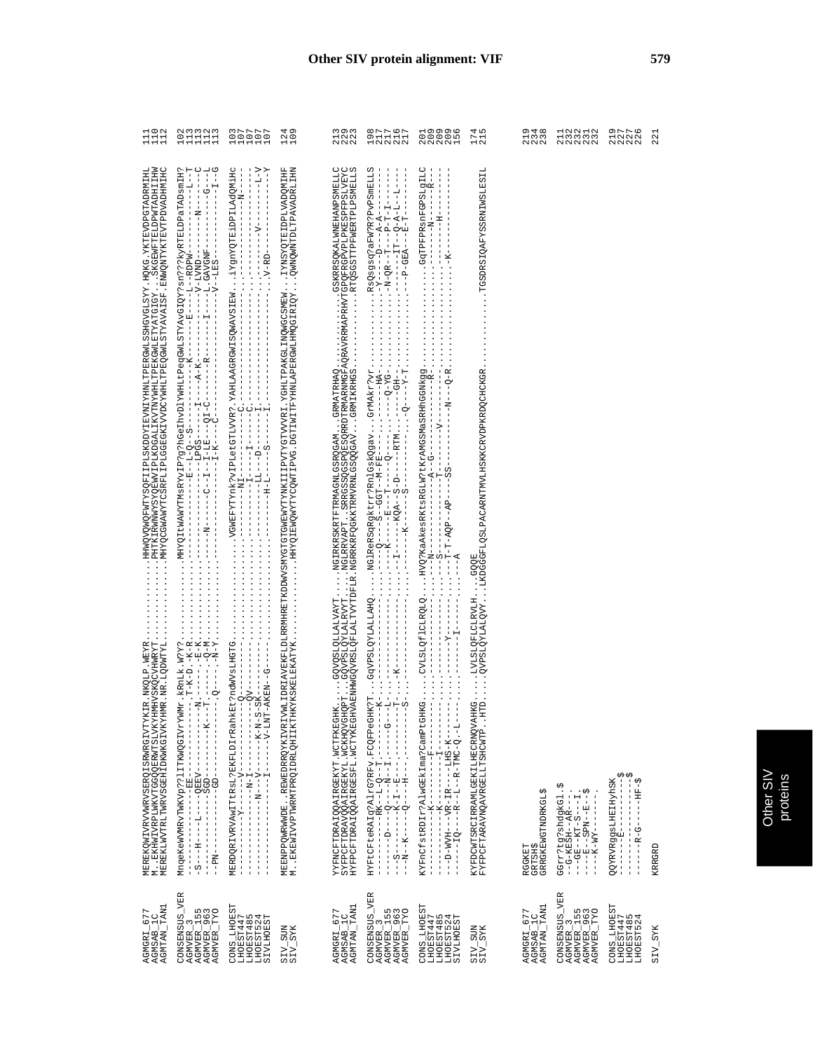| $1102$<br>$1102$                                                                                                                                                                                                                |                                                                                                                                                                                                                                                                                                                                                                                                                          | $\begin{array}{c} 0.0111 \\ 0.0100 \\ 0.0101 \\ \end{array}$                 | 124<br>109                                                                                                                                  | 3<br>222<br>222                                                                                                                                                                                          |                                                                                                                                                                                                                                                                                                                                                                                                | 00000<br>00000<br>00000                                                                                           | 4 ru<br>$\frac{17}{21}$                                                                                 | 2<br>1348<br>228                            | 122212<br>123222                                                                                                                                 | A<br>ANNA<br>ANNA                                           | 22             |
|---------------------------------------------------------------------------------------------------------------------------------------------------------------------------------------------------------------------------------|--------------------------------------------------------------------------------------------------------------------------------------------------------------------------------------------------------------------------------------------------------------------------------------------------------------------------------------------------------------------------------------------------------------------------|------------------------------------------------------------------------------|---------------------------------------------------------------------------------------------------------------------------------------------|----------------------------------------------------------------------------------------------------------------------------------------------------------------------------------------------------------|------------------------------------------------------------------------------------------------------------------------------------------------------------------------------------------------------------------------------------------------------------------------------------------------------------------------------------------------------------------------------------------------|-------------------------------------------------------------------------------------------------------------------|---------------------------------------------------------------------------------------------------------|---------------------------------------------|--------------------------------------------------------------------------------------------------------------------------------------------------|-------------------------------------------------------------|----------------|
| ЭНIМНФИАЛАLЛАГЛЖЛЖМОМИЯ "АST∀ЛУКЛЕSТМЭОЯ АLTHМХЭДЛАГУВЭЕРЭГА ГТАВЗЭЛДЛИМУРЭОХНИГ ``````````````````````````````<br>МНІТНФИАЛМАСТАБЛАМЯРУВЭ````ХЭГЭЛХҮЛГЯТМЭУЯ АЛГНМАМІЛУЯГТЧЭОГУТАГЛАМДА SZMMMЯТУЯЛНА ````````````````````````` |                                                                                                                                                                                                                                                                                                                                                                                                                          |                                                                              | NHITTAGYAYALTQLAMOQNMÖ<br>HHINÖGYATAGIHALÖXSNXI                                                                                             | AXEMCETDRAIQQAIRGEKYT.WCTEKEGHKGQVQCLQLLALWAYTNGIRKREXRTFTMAGMDLGORQGANGRMATRHAIGRAIGRORGRAIMAEMENDLC<br>SYFPCFTDRAVQQAIRGEKYL.WCKHQVGHQUDTGQVPSLQYLALRVYTNGLRKVAPTSRRGSSQGSQEQRGRMARMMGFAQKRAMAPTRTAIGR |                                                                                                                                                                                                                                                                                                                                                                                                |                                                                                                                   | .TGSDRSIQAFYSSRNIWSLESIL<br>LVLSLQFLCLRVLHGQQE<br>LVLSLQFLCLRVYLKDGGGFLQSLPACARNTMVLHSKKCRVDPKRDQCHCKGR |                                             |                                                                                                                                                  |                                                             |                |
| MEREKQWIVEVVWRVSERQISRWRGIVTYKIR, NKQLP, WEYR.<br>M., EKHWIVEPLWKVTGGQQERWTSLVKXHMHVSKQCVHWRYT<br>MEREKLWVTRLTWRVSGEHIDKWKGIVKXHMR, NR.LQDWTYL                                                                                  | $\begin{array}{l} \mathtt{Mnqek} \in \mathtt{K} \mathtt{WlW} \mathtt{Wr} \mathtt{WlW} \mathtt{Vp} \mathtt{?} \mathtt{?} \mathtt{l} \mathtt{I} \mathtt{I} \mathtt{WlW} \mathtt{Q} \mathtt{C} \mathtt{I} \mathtt{V} \mathtt{Y} \mathtt{WlW} \mathtt{R}, \mathtt{ } \mathtt{ } \mathtt{R} \mathtt{R} \mathtt{I} \mathtt{?} \mathtt{.} \mathtt{.} \mathtt{.} \mathtt{.} \mathtt{.} \mathtt{.} \mathtt{.} \mathtt{.} \mathtt$ | MERDQRIVRVAwITtRsL?EKFLDIrRal                                                | MEENPPQWRWWDEREWEDRRQYKIVR.<br>MEKEWIVVPTWRMTPRQIDRLQHIIKT                                                                                  |                                                                                                                                                                                                          | $\begin{array}{l} \texttt{H1R1} \texttt{C1} \texttt{C1} \texttt{R2} \texttt{R3} \texttt{C2} \texttt{R4} \texttt{R4} \texttt{C3} \texttt{R5} \texttt{R6} \texttt{R7} \texttt{R7} \texttt{R8} \texttt{R9} \texttt{R9} \texttt{R0} \texttt{R1} \texttt{R1} \texttt{R1} \texttt{R2} \texttt{R3} \texttt{R1} \texttt{R2} \texttt{R3} \texttt{R4} \texttt{R4} \texttt{R5} \texttt{R6} \texttt{R6} \$ | KYFnCfstRDIr?AlwGEkIma?CamPtGHKG<br>----------------------<br>$\mathsf I$<br>ł.<br>ï.<br>$\frac{1}{1}$<br>I<br>I. | LHKG.<br>HTD<br>KYFDCWTSRCIRRAMLGEKILHECRNQV <i>I</i><br>FYFPCFTARAVNQAVRGELLTSHCWTP                    | GRRGKEWGTNDRKGL<br>RGGKET<br><b>GRTSH\$</b> | GGrr?tg?shdgkGl.\$<br>--G-KESH--AR---<br><b>V)</b><br>$- -GE - -KT - S - -I$<br>$- -E - -E - SEDN - -E - -$<br>$\frac{1}{1}$<br>$---XM-X$<br>- 1 | W<br>$\frac{1}{1}$<br>$\frac{1}{1}$<br>I<br>ı               | KRRGRD         |
| AGMGRI_677<br>AGMSAB_1C<br>AGMTAN_TAN1                                                                                                                                                                                          | CONSENSUS_VER<br>AGMVER_3<br>AGMVER_155<br>AGMVER_963<br>AGMVER_TYO                                                                                                                                                                                                                                                                                                                                                      | CONS_LHOEST<br>LHOEST447<br>THUEST485<br>LHOEST485<br>LHOEST524<br>SIVLHOEST | $\frac{1}{2}$<br>$\frac{1}{2}$<br>$\frac{1}{2}$<br>$\frac{1}{2}$<br>$\frac{1}{2}$<br>$\frac{1}{2}$<br>$\frac{1}{2}$<br>$\frac{1}{2}$<br>ω ω | TAN1<br>AGMGRI_677<br>AGMSAB_1C<br><b>AGMTAN_</b>                                                                                                                                                        | CONSENSUS_VER<br>AGMVER_3<br>AGMVER_155<br>AGMVER_963<br>AGMVER_TYO                                                                                                                                                                                                                                                                                                                            | CONS_LHOEST<br>LHOEST447<br>LHOEST485<br>LHOEST524<br>LHOEST524                                                   | $\begin{array}{c} {\tt SIV\_SUM} \\ {\tt SIV\_SYK} \end{array}$                                         | AGMTAN_TAN1<br>AGMGRI_677<br>AGMSAB_1C      | CONSENSUS_VER<br>AGMVER_155<br>AGMVER_963<br>AGMVER_TYO<br>3<br><b>AGMVER</b>                                                                    | CONS_LHOEST<br>LHOEST447<br>LHOEST485<br>5<br>4<br>LHOEST52 | <b>SIV_SYK</b> |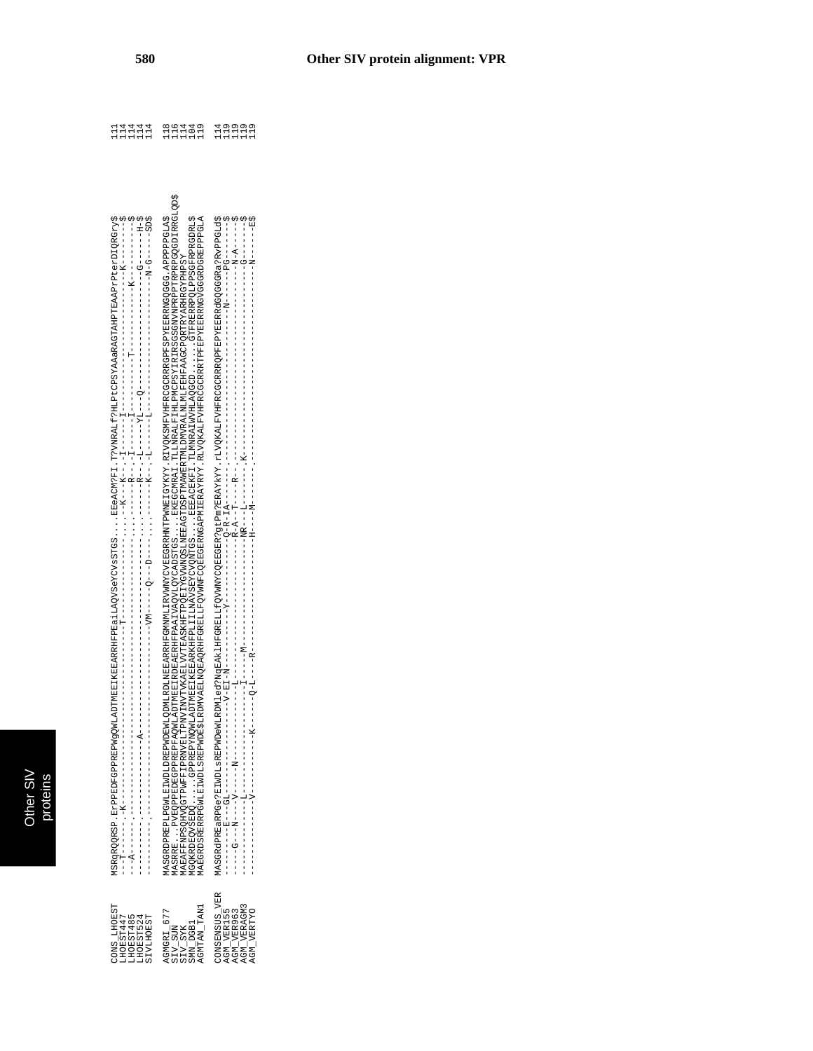| MSRqRQQRSP.ErFDFGPPREPMGQMLADTMEBIKERARRHFPEdiAAQV3eYCVsSTGSSEGACM?FI.T?VNRALf?HLPtCPSYAAaRAGTAHPTEARAPrPtedIQRGry\$<br>S (1 S – – – – – – + O – IX – – – – – – – – – – – – – | AASRRE EVEQEPEDECEPEREPEQWLADTMEEIEREREREREREN QVCADSTGS. EKEGCMCA I TLINRALFILMCPSYIRIRSOSGENVEREPEREPEREQUEDIRRGLQD\$<br>AASGROPPREPILAT WDLDREPWDLODREPWDDWDLDLDERENGULDRYMANDINGVERGRREHNTPWNFLGYKYY.RIVOKSMFVHFRCGCRRRGGPFSPYERRGGGG-APPPPPFCAS<br>GOKRDEOVSREDDQUIRPREPREDYNQWLADTMEEIKEEARKHEPPLIIJANVSEYCVQNTGSBEEACEKFI.TLMNRAIWVRLEDOOD<br>ARAFPNPSQUFV@TPRNFFLPRNVINTLPNXINVTLWLARIJVVTBASKHFTPQBIZVGVMNQSLMBBAGTDSPTWAMBRTMIJMURALMLMLFEHFAAGCPQRTRXPAHGYPHPSY | MASGRGEPETWDLaEREPWDeWLENDLeG?NgEAELHFGERELLfQVWNYCQBEGER:9tFm?ERAYKY.rIVQKALFVHFRCGCRRRQFFEFERGGGR&RGYGFGR&?RvPPGLd\$<br>20-------- リーーーーー |
|-------------------------------------------------------------------------------------------------------------------------------------------------------------------------------|----------------------------------------------------------------------------------------------------------------------------------------------------------------------------------------------------------------------------------------------------------------------------------------------------------------------------------------------------------------------------------------------------------------------------------------------------------------------------|---------------------------------------------------------------------------------------------------------------------------------------------|
| TONS LHOEST<br>LHOEST485<br>FZSLSZSPHT<br><b>SIVLHOEST</b><br>LHOEST447                                                                                                       | AGMTAN_TAN1<br>AGMGRI 677<br><b>SMN DGB1</b><br>SIV_SUN<br>SIV_SYK                                                                                                                                                                                                                                                                                                                                                                                                         | <b>CONSENSUS VER</b><br>AGM VERAGM3<br>AGM VER155<br>AGM VER963<br>AGM VERTYO                                                               |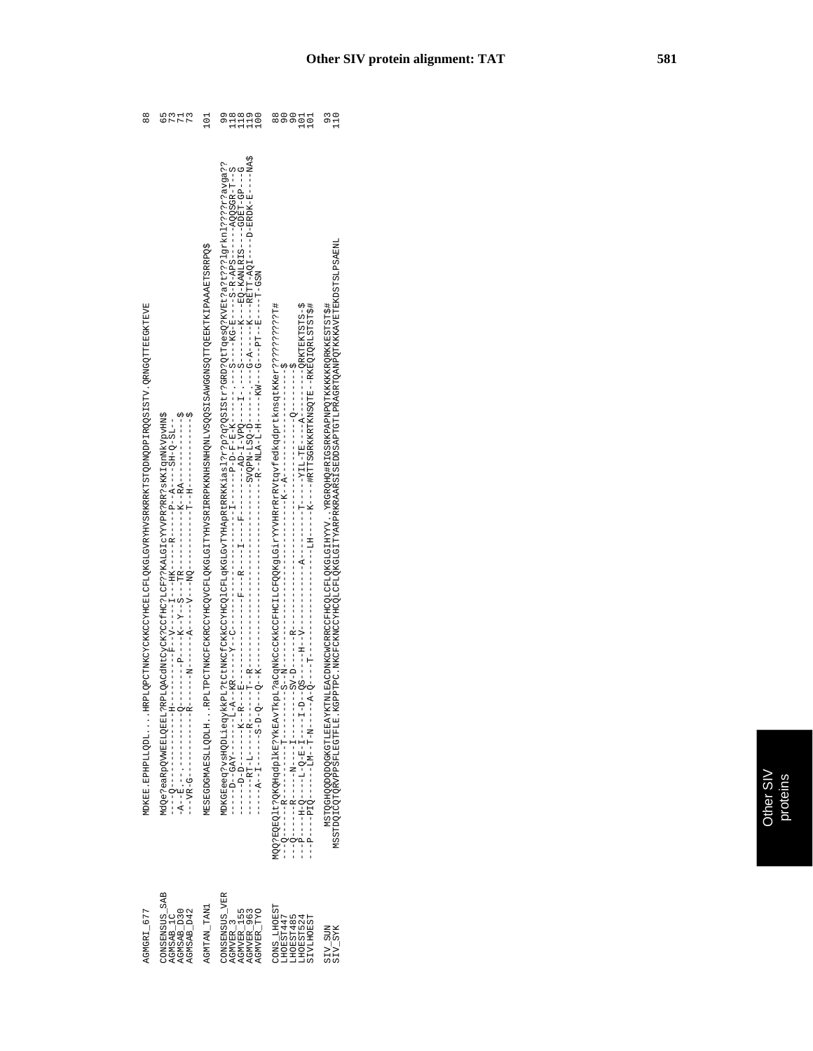| $\frac{8}{8}$                                                                                  |                                                                                                | 101                                                                                                      | 118<br>$\begin{smallmatrix} 1 & 0 & 0 \\ 1 & 1 & 0 \\ 1 & 1 & 0 \end{smallmatrix}$        |                                                                        | MSTOQODQOOHQQDAYXATAEBAYKEYKLMLBAQDAWKCWOHQCQLQLOHQFAQYAHAYAYAYHAYQHARAQHAXDAAYAYAAHAYDQDAQQDQDQDQDQDQDXX |
|------------------------------------------------------------------------------------------------|------------------------------------------------------------------------------------------------|----------------------------------------------------------------------------------------------------------|-------------------------------------------------------------------------------------------|------------------------------------------------------------------------|-----------------------------------------------------------------------------------------------------------|
| MDKER . REPLIQDLI HREDQQUTMKCYMKCONXKCOHQQKCOHQXXXXXXXXXXXXXXXXXXQQDNQQDIQQQSTSTVQQTTMQQKTEYXX | ddo a eaRp OVWEDI 2RE 17 RED OACHO Y CYCK ? COID ? YAAD I CYYVYR ? RE ? RE Y SKK I qnMVypvHN\$ | MESECHALARSLIZQDIHIRPITPCTTMKCFCHCCYCHCCOVGFLGITTYHVSRIRRANHSMHKONHQNIYSQSISAMGSMSQTTTQEZHKIPAAAFTSRRPQS |                                                                                           |                                                                        |                                                                                                           |
| AGMGRI_677                                                                                     | CONSENSUS SAB<br>AGMSAB D30<br>AGMSAB D42<br>AGMSAB <sub>1C</sub>                              | AGMTAN_TAN1                                                                                              | CONSENSUS VER<br>AGMVER <sub>155</sub><br>AGMVER_TYO<br>AGMVER 963<br>AGMVER <sub>3</sub> | CONS LHOEST<br>LHOEST447<br>LHOEST485<br>LHOEST524<br><b>SIVLHOEST</b> |                                                                                                           |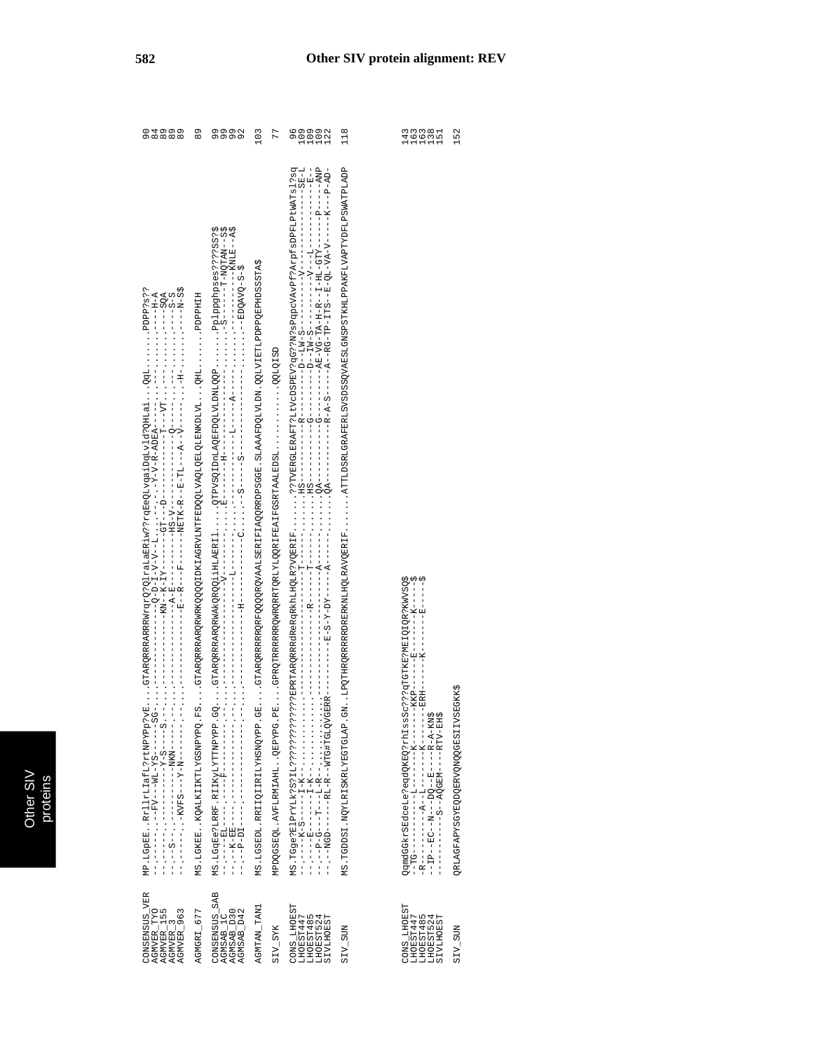| 04000<br>000000                                                                                                                                                                | 89                                                                                                           | onona<br>ononon<br>5-9-22AO<br>14-9-22AO<br>14-9-22AO                                                                                                                                                                                                                                                                                                                                                                                                                         | 103                                | 77                             | $\begin{array}{c} 0 & 0 & 0 & 0 \\ 0 & 0 & 0 & 0 \\ -1 & -1 & -1 \end{array}$<br>Ō | 118<br>d CIALITIN NA TATTAN TANA TANA SA TANA SEKENG SA SA SA SA SA SA SA SA SA SA SA TAGA TA SA TANA TANG TANG SA SA |                                                                                                                                                                                                                                                                                                                                                                                                                                                                                                      | 152                               |
|--------------------------------------------------------------------------------------------------------------------------------------------------------------------------------|--------------------------------------------------------------------------------------------------------------|-------------------------------------------------------------------------------------------------------------------------------------------------------------------------------------------------------------------------------------------------------------------------------------------------------------------------------------------------------------------------------------------------------------------------------------------------------------------------------|------------------------------------|--------------------------------|------------------------------------------------------------------------------------|-----------------------------------------------------------------------------------------------------------------------|------------------------------------------------------------------------------------------------------------------------------------------------------------------------------------------------------------------------------------------------------------------------------------------------------------------------------------------------------------------------------------------------------------------------------------------------------------------------------------------------------|-----------------------------------|
| MP.LGpEERrllrLlafL?rtNPYPp?vE<br>$\frac{1}{2}$ , $\frac{1}{2}$ , $\frac{1}{2}$ , $\frac{1}{2}$ , $\frac{1}{2}$ , $\frac{1}{2}$ , $\frac{1}{2}$ , $\frac{1}{2}$ , $\frac{1}{2}$ | HIHAAGGARARQRARQQQQIDKIAGRVLVAQDQQIVAQDQDIQADIVIVAGARINGIQDQQIATMICIO<br>MS. LGKEE. . KQALKIIKTIYGSNPYPQ. FS | $\begin{array}{l} \texttt{MS}:\texttt{LGqBe}\ \texttt{JLRRF}, \texttt{RITKyLYTMWYP}, \texttt{GQ} \\ \texttt{--}{\texttt{--}}{\texttt{--}}{\texttt{--}}{\texttt{--}}{\texttt{--}}{\texttt{--}}{\texttt{--}}{\texttt{--}}{\texttt{--}}{\texttt{--}}{\texttt{--}}{\texttt{--}}{\texttt{--}}{\texttt{--}}{\texttt{--}}{\texttt{--}}{\texttt{--}}{\texttt{--}}{\texttt{--}}{\texttt{--}}{\texttt{--}}{\texttt{--}}{\texttt{--}}{\texttt{--}}{\texttt{--}}{\texttt{--}}{\texttt{--$ | MS. LGSEDL. RRIIQIIRILYHSNQYPP. GE | MPDQGSEQL.AVFLRMIAHLQEPYPG.PE. | $\cdots$ $\cdots$ QA---<br>$- - - - - - - - - - - - -$                             | . LPQTHRQRRRRRRDRERKNLHQLRAVQERIF<br>MS.TGDDSI.NQYLRISKRLYEGTGLAP.GM                                                  | <b>SSAMAS DE TOTELO E RANSOS</b><br>$-----K------$<br>$-1$ $-1$ $-1$ $-1$ $-1$<br>$\begin{array}{l} \mathsf{QgmdGGKrSRdcole} = \mathsf{P\text{-}qdQKpQ} \mathsf{zrht1sss} \mathsf{c} \mathsf{c} \mathsf{r} \mathsf{r} \mathsf{r} \mathsf{r} \mathsf{q} \mathsf{r} \mathsf{r} \mathsf{r} \mathsf{r} \mathsf{r} \mathsf{r} \mathsf{r} \mathsf{r} \mathsf{r} \mathsf{r} \mathsf{r} \mathsf{r} \mathsf{r} \mathsf{r} \mathsf{r} \mathsf{r} \mathsf{r} \mathsf{r} \mathsf{r} \mathsf{r} \mathsf{r} \math$ | QRLAGFARYSQYDQRRVQNQQGESIIVSEGKKS |
| CONSENSUS_VER<br>AGMVER_TYO<br>AGMVER_155<br>AGMVER_3<br>AGMVER_963                                                                                                            | AGMGRI_677                                                                                                   | CONSENSUS_SAB<br>AGMSAB_1C<br>AGMSAB_D30<br>AGMSAB_D42                                                                                                                                                                                                                                                                                                                                                                                                                        | AGMTAN_TAN1                        | <b>SIV_SYK</b>                 | CONS_LHOEST<br>LHOEST447<br>LHOEST485<br>LHOEST524<br><b>SIVLHOEST</b>             | <b>SIV_SUN</b>                                                                                                        | CONS_LHOEST<br>LHOEST447<br>LHOEST485<br>LHOEST524<br>SIVLHOEST                                                                                                                                                                                                                                                                                                                                                                                                                                      | <b>NUSTAIR</b>                    |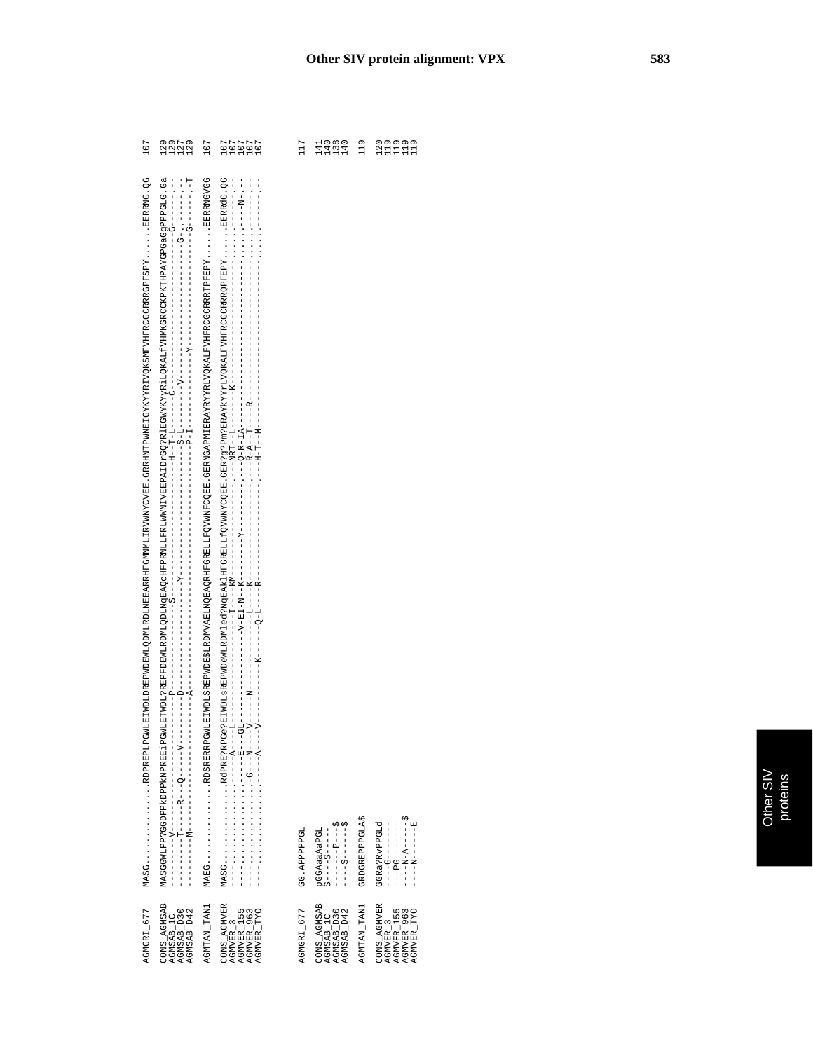| 107                                                                                                                                                                                                                            | AUNU<br>VAV<br>VAV                                   | 107         |                                                                   | 117          | 11111<br>4424<br>4444                                                                                                                               | 119                   | uuuuu<br>Suunu                                                    |
|--------------------------------------------------------------------------------------------------------------------------------------------------------------------------------------------------------------------------------|------------------------------------------------------|-------------|-------------------------------------------------------------------|--------------|-----------------------------------------------------------------------------------------------------------------------------------------------------|-----------------------|-------------------------------------------------------------------|
| POST PRESSER WAS ARRESTED WAS ARRESTED AND THAT AND THAT AND A STATED WAS ARRESTED FOR A STATED WAS LIGHTED WAS A STATED AND A STATED FOR A STATED AND A STATED ON A STATED AND A STATED AND A STATED AND A STATED AND A STATE |                                                      |             |                                                                   | GG. APPPPPGL | $\ddot{S} - - - - - - - - - - - -$<br>pGGAaaAaPGL<br>S----S-----                                                                                    | <b>GRDGREPPPGLA\$</b> | GGRa?RvPPGLd                                                      |
| AGMGRI_677                                                                                                                                                                                                                     | CONS_AGMSAB<br>AGMSAB_1C<br>AGMSAB_D30<br>AGMSAB_D42 | AGMTAN_TAN1 | CONS_AGMVER<br>AGMVER_3<br>AGMVER_155<br>AGMVER_963<br>AGMVER_TYO | AGMGRI_677   | $\begin{array}{l} \texttt{CONS\_AGMSAB} \\ \texttt{AGMSAB\_IC} \\ \texttt{AGMSAB\_D30} \\ \texttt{AGMSAB\_D30} \\ \texttt{AGMSAB\_D42} \end{array}$ | AGMTAN_TAN1           | CONS_AGMVER<br>AGMVER_3<br>AGMVER_155<br>AGMVER_963<br>AGMVER_TYO |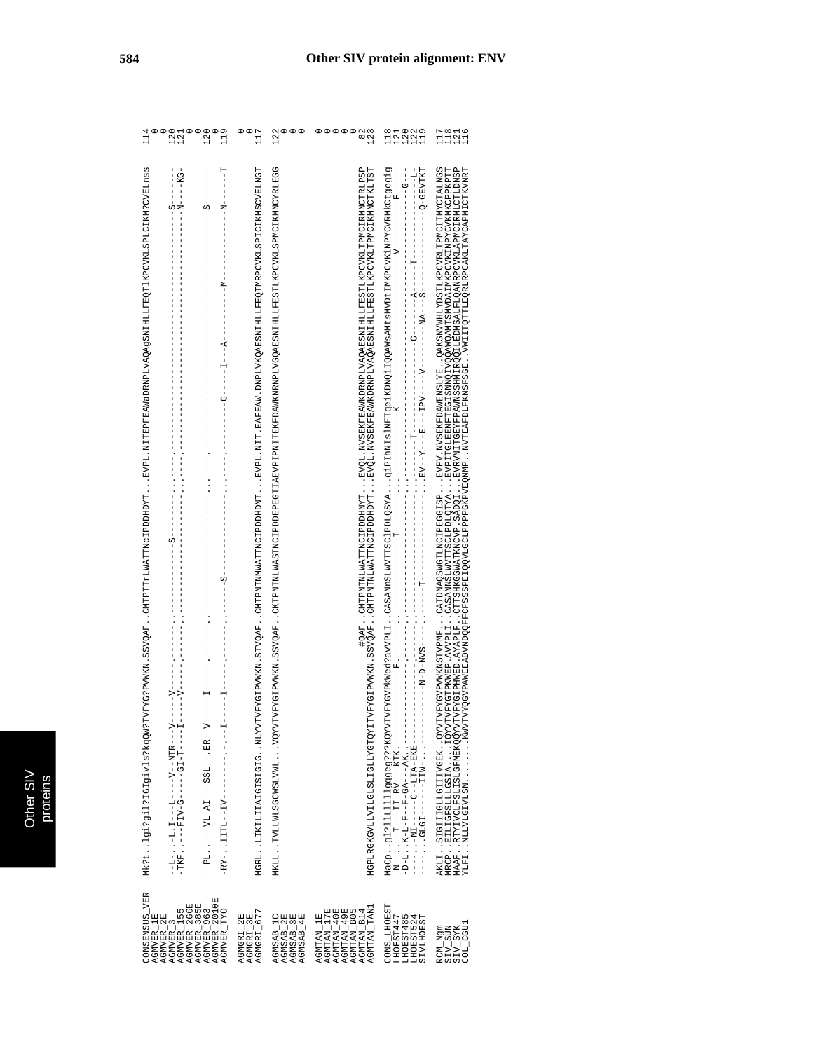| 121<br>121<br>120<br>119<br>É                                                                                                                                                                                                                                                                                                                                                                                                                                                                                                                                                                            | 00<br>117                                                                                                                   | $\circ$<br>122                                                                                                                        | 00000<br>82<br>123                                                                                                                                                                                                            | 118<br>121<br>120<br>122<br>119                                               | 11111<br>11211<br>11111                                                                                                                                                                                                                                                                                                                                                                                                                                                                                          |
|----------------------------------------------------------------------------------------------------------------------------------------------------------------------------------------------------------------------------------------------------------------------------------------------------------------------------------------------------------------------------------------------------------------------------------------------------------------------------------------------------------------------------------------------------------------------------------------------------------|-----------------------------------------------------------------------------------------------------------------------------|---------------------------------------------------------------------------------------------------------------------------------------|-------------------------------------------------------------------------------------------------------------------------------------------------------------------------------------------------------------------------------|-------------------------------------------------------------------------------|------------------------------------------------------------------------------------------------------------------------------------------------------------------------------------------------------------------------------------------------------------------------------------------------------------------------------------------------------------------------------------------------------------------------------------------------------------------------------------------------------------------|
| ۳<br>ا<br>MK?tlgi2ri1r1619ivjskqQW?TVFYG?PVWKX1.8SYQAFcMTPTTrLWATTNoUPDHDYTEVPL.NITEPFEAMaDRNPLVAQAgRNHIHLFEQT1KPCVKLSPLCIKM?CVBLnss<br>--N------------<br>Î<br>S<br>C)<br>?<br>⊺<br>ì<br>ļ<br>I<br>Î<br>$\begin{array}{c} 1 \\ 1 \\ 1 \\ 1 \end{array}$<br>$M - - - -$<br>$\frac{1}{1}$<br>Í<br>ï<br>$\frac{1}{1}$<br>$\frac{1}{1}$<br>$-1$ $-1$ $-1$ $-1$ $-1$ $-1$<br>$\begin{array}{c} 1 \\ 1 \\ 1 \\ 1 \end{array}$<br>$\frac{1}{1}$<br>$\frac{1}{1}$<br>$\frac{1}{1}$<br>I<br>$S$ ------------<br>ì<br>$\frac{1}{1}$<br>I<br>S<br>$\frac{1}{1}$<br>$\begin{array}{c} 1 \\ 1 \\ 1 \end{array}$<br>i | MGRLLIKILIIAIGISIGIGNLYVTVYFYGIFWWXN.STYQARCMTPDNTMWATTNCIPDDHDNTRVPL.NIT.BAFBAW.DNPLVKQABSNIHILIFBQTMRPCVKLSPICIKMSCVBLNGT | SSWOAFCHPMYNTMASTMLNASTMCIGETLIENGTIAETPIENGTBKFDAMKNRAFLVGOAESNEILLIENGTHKPCVKLSPMCYNTMOXERGG<br>MKIT TAITMISGCMSIAMIVQYVIVFYGIPVMKN | #QAF . CMTPNTNIMATTNQIPPDHNYT EVQi NVSEKFEAMKDRNPIJVAQAESNIHIJFESTIKPCVKITPMCIRMNCTRIJFSP<br>SSVQAFCMTPNTIWAATTDQUAFDDDHDYTEVQL.XVSEKFEAWKDRNPLVAAQABSNIHLLFESTLKPCVKLTPMCIKNMOTKLTST<br>MGEVELVILLVILLESLIGILISTI VETANTASNE |                                                                               | AKALI LOLILIDMATITROVANITROVANINGSMASTROVANINGSMATINGSMATINGSMATINGSMATINGSMANINGSMATINGSMAHINGSMAHINGSMAHINGSMAHINGSMAHINGSMAHINGSMAHINGSMAHINGSMAHINGSMAHINGSMAHINGSMAHINGSMAHINGSMAHINGS<br>.AYAPLE, CTTEKGGWATKNOVP.SADQI EVRVMITGEYFPAWNSSEMIRQQILLEDMSALFLQANRPCVKLAPMCIRMLCTLDNSP<br>ADVNDQQFFCFSSSEIQQVLGCLPPPPGKPVBQNMP . NVTEAFDLFKNSFSGB . VMIITTQTTLEQRLRPCAKLTPAYCAPMICTKVNRT<br>MRCP. . EILIGFSLLLGSIA 1027VTVFYGTPKWEP<br>XLFINLLVLGIVLSNKWVTVYQGVPAWEE<br>MAAF RTYIVCLFSL1SLGFMEXQQYVTVFYGIPHWED |
| CONSENSUS_VER<br>AGNVER_1E<br>AGNVER_2E<br>AGNVER_15<br>AGNVER_155<br>AGNVER_266E<br>AGNVER_2613<br>AGNVER_TYO UE<br>AGNVER_TYO                                                                                                                                                                                                                                                                                                                                                                                                                                                                          | AGMGRI_2E<br>AGMGRI_3E<br>AGMGRI_677                                                                                        | AGMSAB_1C<br>AGMSAB_2E<br>AGMSAB_3E<br>AGMSAB_4E                                                                                      | AGMTAN_1E<br>AGMTAN_17E<br>AGMTAN_40E<br>AGMTAN_49E<br>AGMTAN_B14<br>AGMTAN_TAN1                                                                                                                                              | <b>CONS_LHOEST</b><br>THOEST447<br>LHOEST485<br>LHOEST524<br><b>TALLATION</b> | RCM_Ngm<br>SIV_SUN<br>SIV_SYK<br>COL_CGU1                                                                                                                                                                                                                                                                                                                                                                                                                                                                        |

 $\begin{array}{l} \texttt{RCM\_Ngm} \\ \texttt{SIV\_SUM} \\ \texttt{SIV\_SVK} \\ \texttt{SIV\_SYK} \\ \texttt{CGL\_CGU1} \end{array}$ 

CONS\_LHOEST<br>LHOEST447<br>LHOEST485<br>LHOEST524<br>LHOEST524

AGMTAN\_1E<br>AGMTAN\_17E<br>AGMTAN\_40E<br>AGMTAN\_49E<br>AGMTAN\_E14<br>AGMTAN\_TAN1

 $\begin{array}{l} \text{CONSEMSUS\_VER} \\ \text{A GWVER\_1E} \\ \text{A GWVER\_3B} \\ \text{A GWVER\_3S} \\ \text{A GWVER\_155} \\ \text{A GWVER\_385E} \\ \text{A GWVER\_365E} \\ \text{A GWVER\_9613} \\ \text{A GWVER\_9613} \\ \text{A GWVER\_TYO} \\ \text{A GWVER\_TVO} \end{array}$ 

AGMSAB\_1C<br>AGMSAB\_2E<br>AGMSAB\_3E<br>AGMSAB\_4E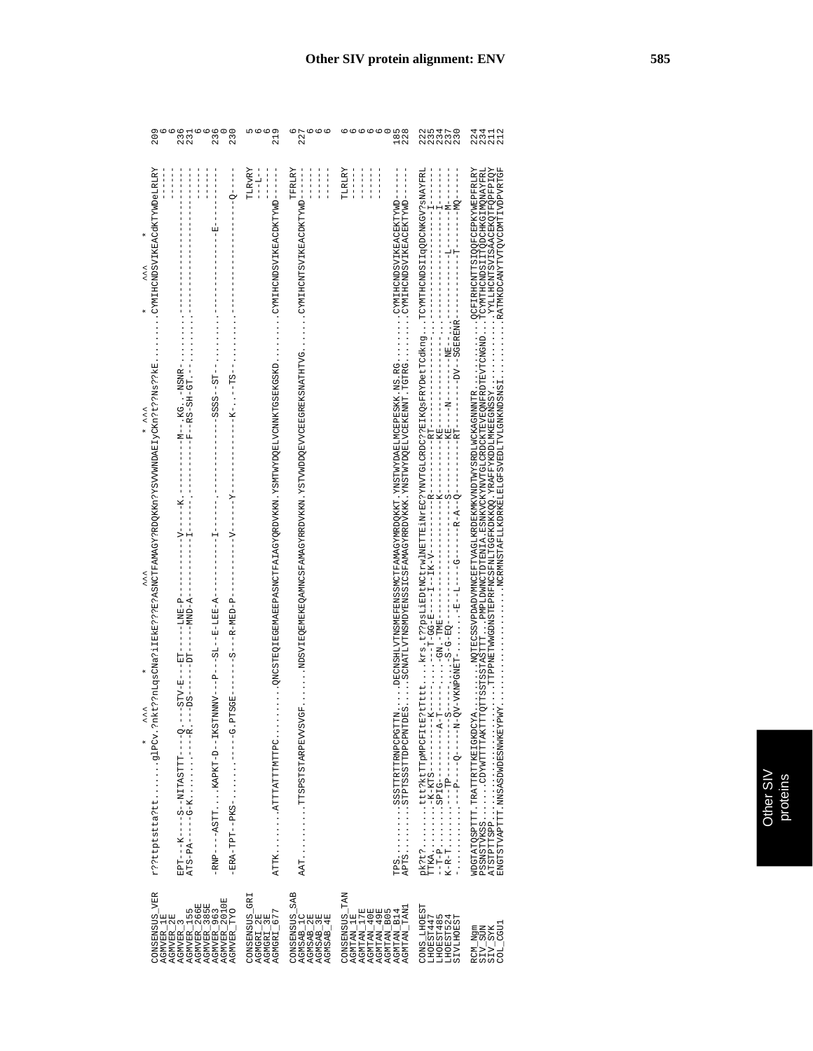| 209                                                                                                                                                                  | 236<br>231<br>236<br>230                                                                                                                                                                                                                                                                                                                                                                                       | 219                                                                           | 227                                                               | 00000<br>185<br>228                                                                                                                                                                                                                                                                                                         | 222<br>2350<br>2350<br>2350<br>235                                     | 224<br>234<br>212<br>211                                                                                                                                                                                                                                                                                        |
|----------------------------------------------------------------------------------------------------------------------------------------------------------------------|----------------------------------------------------------------------------------------------------------------------------------------------------------------------------------------------------------------------------------------------------------------------------------------------------------------------------------------------------------------------------------------------------------------|-------------------------------------------------------------------------------|-------------------------------------------------------------------|-----------------------------------------------------------------------------------------------------------------------------------------------------------------------------------------------------------------------------------------------------------------------------------------------------------------------------|------------------------------------------------------------------------|-----------------------------------------------------------------------------------------------------------------------------------------------------------------------------------------------------------------------------------------------------------------------------------------------------------------|
| CYMIHCNDSVIKEACdKTYWDeLRLRY<br>$\lambda$<br>kt??nLqsCNa?iIEkE???B?ASNCTFAMAGY?RDOKKn?YSVVWNDAEIvCKn?t??RB;kE.<br>くくく *<br>$\lambda$<br>くくく<br>r??ttptstta?ttglPCv.?n | $\frac{1}{1}$<br>$\begin{array}{c} \n 1 \\  1 \\  1\n \end{array}$<br>$\frac{1}{1}$<br>$\begin{bmatrix} 1 \\ 1 \\ 1 \\ 1 \end{bmatrix}$<br>$\frac{1}{1}$ $\frac{1}{1}$ $\frac{1}{1}$ $\frac{1}{1}$<br>면<br> <br>$- - 5555 - - 57$<br>--------------------<br>-RNP----ASTTKAPKT-D--IKSTNNV---P----SL--E-EEE-A-<br>$--DS$ --<br>ERA-TPT--PKS-G.PTSGE<br>EPT---K----S--NITASTTT----Q.-<br>ATS-PA-----G-K------R.- | TLRVRY<br>$\begin{array}{c} 1 \\ 1 \\ 1 \\ 1 \end{array}$<br>ATTKATTATTTMTTPC | TFRLRY<br>$-1$<br>$\frac{1}{1}$<br>$\frac{1}{1}$                  | TLRLRY<br>$\frac{1}{1}$<br>$\frac{1}{1}$<br>$-1$<br>$\frac{1}{1}$<br>- UNIVERSINGEN VER EIN SONGERENGEN VER EIN VERSTATEN VER EIN VERSTATT VANGEN VER EIN VORTSTEIN VER EIN VER EIN VER EIN VER EIN VER EIN VER EIN VER EIN VER EIN VER EIN VER EIN VER EIN VER EIN VER EIN VER EIN VER EIN VER EIN<br>TPSSSSTTRTTRNPCPGTTN | $---- - K - - -$<br>$\mathtt{TTKA}\ldots\ldots\ldots\ldots\ldots$      | WDGTATCHTT: TRATTERTTATING ENGLISCHE WARDEN MAGET TRAGHARDEN WARDEN WARDEN WARDEN WARDEN WARDEN.<br>XÖLAAGÖRROFOSTAGLAKALTAX.<br>KÖLAAGÖRROFOSTAGLAKALTAX.<br>SPARANGLIMGAN IN NORVELT KDRKET ET GESAGNING NIVER IN TENSONSLIGE ER SELF TENSON IN DE NAS DE TENNE ER TENNE D<br>ENGTSTVAPTTT.NNSASDWDESNWKEYPWY |
| CONSENSUS_VER                                                                                                                                                        | AGWER_1E<br>AGWER_3<br>AGWER_15<br>AGWER_155<br>AGWER_365E<br>AGWER_365E<br>AGWER_2010E<br>AGWER_2010E<br>AGMVER_TYO                                                                                                                                                                                                                                                                                           | CONSENSUS_GRI<br>AGMGRI_2E<br>AGMGRI_3E<br>AGMGRI_677                         | CONSENSUS_SAB<br>AGMSAB_1C<br>AGMSAB_2E<br>AGMSAB_3E<br>AGMSAB_4E | CONSENSUS_TAN<br>AGMTAN_TAN<br>AGMTAN_1E<br>AGMTAN_17E<br>AGMTAN_40E<br>AGMTAN_49E<br>AGMTAN_B05<br>AGMTAN_B14                                                                                                                                                                                                              | CONS_LHOEST<br>LHOEST447<br>LHOEST485<br>LHOEST524<br><b>SIVLHOEST</b> | $\begin{array}{l} \texttt{RCM\_Ngm} \\ \texttt{SIV\_SUN} \\ \texttt{SIV\_SIX} \\ \texttt{SIV\_SIX} \\ \texttt{COL\_CGU1} \end{array}$                                                                                                                                                                           |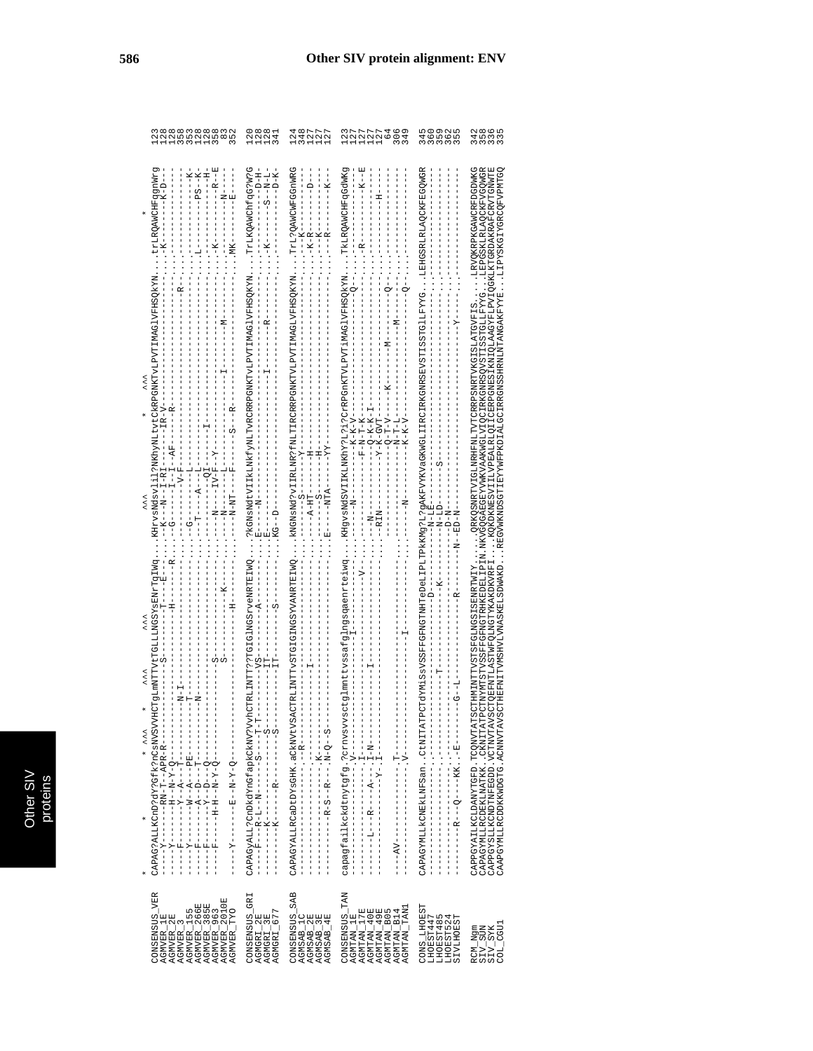| co co co co co co co<br>Co co co co co co co co<br>Co co co co co co co co co<br>Co co co co co co co co co<br>352                                                                                                                                                                                                                                                                                                                                                                                                                                                                                                                                                                                                                                                                                                                                                                                                                                                                                                    | 11122<br>0004<br>0004                                                                                                                                                                                                 | 121111<br>44222                                                                                                                                                                                                                                                                                                            | NANNA<br>NANNA<br>NANNA<br>306<br>349                                                                                                                                                                                                                                                                                                                                                              | 0 0 0 1 1<br>0 1 1 0 1 0<br>0 1 0 1 0<br>345                                                                                                                                                                                                                                                                                                                                                                                                                                                                                                                                                                                                              | 2<br>45265<br>2526                                                                                                                                                                                                                                                                                                                                                                                                          |
|-----------------------------------------------------------------------------------------------------------------------------------------------------------------------------------------------------------------------------------------------------------------------------------------------------------------------------------------------------------------------------------------------------------------------------------------------------------------------------------------------------------------------------------------------------------------------------------------------------------------------------------------------------------------------------------------------------------------------------------------------------------------------------------------------------------------------------------------------------------------------------------------------------------------------------------------------------------------------------------------------------------------------|-----------------------------------------------------------------------------------------------------------------------------------------------------------------------------------------------------------------------|----------------------------------------------------------------------------------------------------------------------------------------------------------------------------------------------------------------------------------------------------------------------------------------------------------------------------|----------------------------------------------------------------------------------------------------------------------------------------------------------------------------------------------------------------------------------------------------------------------------------------------------------------------------------------------------------------------------------------------------|-----------------------------------------------------------------------------------------------------------------------------------------------------------------------------------------------------------------------------------------------------------------------------------------------------------------------------------------------------------------------------------------------------------------------------------------------------------------------------------------------------------------------------------------------------------------------------------------------------------------------------------------------------------|-----------------------------------------------------------------------------------------------------------------------------------------------------------------------------------------------------------------------------------------------------------------------------------------------------------------------------------------------------------------------------------------------------------------------------|
| ת<br>$\frac{E}{1}$<br>$-----PSS---K$<br>trLRQAMCHFqgnWr<br>$---K$<br>$-1 - -1$<br>$\begin{array}{c} 1 \\ 1 \\ 1 \\ 1 \end{array}$<br>$-1 - 7$<br>$\begin{array}{c} \n 1 \\  1 \\  1\n \end{array}$<br>$\begin{array}{c} 1 \\ 1 \\ 1 \\ 1 \end{array}$<br>$\ddotsc$<br>TKHrvsNdsvlill?NKhvNLtvtCkRPGNKTvLPVTIMAGIVFHSQkYN<br>くくく<br>$\begin{array}{c} 1 \\ 1 \\ 1 \\ 1 \end{array}$<br>LT コーロー - コーコー - - - - D - -<br>$---201---1$<br>$- -K - -N - -I - RI$<br>------<br>$-1 - 5 - 1$<br>$\frac{1}{1}$<br>VtTGLLLMGSYSENrTGING<br>$-1 - 1$<br>$-1$ $-1$<br><b>TTMMTP</b><br>$\begin{aligned} & -1 & -1 \\ & -1 & -1 \\ & -1 & -1 \\ & -1 & -1 \\ & -1 & -1 \\ & -1 & -1 \\ & -1 & -1 \\ & -1 & -1 \\ & -1 & -1 \\ & -1 & -1 \\ & -1 & -1 \\ & -1 & -1 \\ & -1 & -1 \\ & -1 & -1 \\ & -1 & -1 \\ & -1 & -1 \\ & -1 & -1 \\ & -1 & -1 \\ & -1 & -1 \\ & -1 & -1 \\ & -1 & -1 \\ & -1 & -1 \\ & -1 & -1 \\ & -1 & -1 \\ & -1 & -1 \\ & -1 & -1 \\ & -1 & -1 \\ & -1 & -1 \\ & -1 & -1 \\ & -1 & -1 \\ & -1 & -$<br>* ^^* | - TrikQAWChfqG?W?G<br>--1-N-13<br>H-1-1-1-1<br>$D - K$<br>. ----------<br>. ?kGNsNdtVIIkLMkfyNLTvRCRRPGNKTvLPVTIMAGlVFHSQKYN.<br>$\frac{1}{12}$<br>$\frac{1}{2}$<br>TRLINTT??TGIGINGSrveNRTEIWQ<br>$- - - 5V - - - -$ | CAPAGYALLRCaDtDYsGHK.aCNNVtVSACTRLINTTVSTGIGINGSYVANRTEIWQkNGNaNd?vIIRLNR?fNLTIRCRRPGNKTVLPVTIMAGLVFHSQKYNTT-17QAWCWFGGnWRG<br>$- -K - -$<br>$-----R$<br>$ - K - R - - -$<br>$\cdots$ --------<br>$- - - - K$<br>$- - -$<br>$H - -$<br>$-1$<br>$+1$<br>$-1$<br>$-1 - X - -$<br>- - - - - LHH - KT - - - -<br>$\frac{1}{1}$ | TKLRQANCHFqGdWKg<br>--------<br>ŧ<br>$\ddot{R}$<br>tglmnttvssafglngsqaenrtteiwgKHgvsNdSVIIKLMKhY?L?i?CrRPGnKTVLPVTiMAGlVFHSQkYN<br>$- -K - -$<br>$---K-K-K-V---$<br>$\begin{array}{l} \displaystyle --1.5\Delta S - 2I - K - K - K \\ \displaystyle \Gamma - 2I - 2I - 2I - K - K - K - K \end{array}$<br>$N-T-L-I$<br>$- - F - N - T - K$<br>$-1 - Q - T - V$<br>$- - R I N - -$<br>$\frac{1}{1}$ | CARYMALIACURINES CHATRICTOSVERINENTHEDIALIPLOPLIPLIPAKW9?L?9AKFVUQSKKVGSKKVLIIRCIRKGNRSBYSTIGSVEILGSFLKLALIACOSRLFALOQNGR<br>$-$<br><br><br><br><br><br><br><br><br><br><br><br><br><br><br><br><br><br><br><br><br><br><br><br><br><br><br><br><br>$-D-N-$<br>$- -N - LE$<br>$\frac{1}{1}$<br>$----K$<br>$R - -$<br>$-6 - 1 - -1$<br>$\frac{1}{2}$ $\frac{1}{2}$ $\frac{1}{2}$ $\frac{1}{2}$ $\frac{1}{2}$ $\frac{1}{2}$ $\frac{1}{2}$ $\frac{1}{2}$ $\frac{1}{2}$ $\frac{1}{2}$ $\frac{1}{2}$ $\frac{1}{2}$ $\frac{1}{2}$ $\frac{1}{2}$ $\frac{1}{2}$ $\frac{1}{2}$ $\frac{1}{2}$ $\frac{1}{2}$ $\frac{1}{2}$ $\frac{1}{2}$ $\frac{1}{2}$ $\frac{1}{2}$ | HMMPNLANDESAILLAPERLANDALAS EREPRENDENT EN EN EN EN EN ELLENDER EN ELLENDES EN ELLENDES EN ELLENDES<br>IN MESTROPOFRIKEDELI E LA SILIPPORTI LEK NONGRABOQRARI OLI TEKORREGI ILEKONSTI ISSTI ISSTI ILE YOTI LA ISSENCON<br>TOEFNTLASTWFOLNGTYKAKDKVRF<br>THMINTTVSTSFGLNGSISENRTWIY<br>CAPPGYAILKCLDANYTGFD.TCQNVTATSC<br>CAPAGYMLLRCDEKLNATKKCKNITATPC<br>CAPPGYSLLKCNDTNFEGDD.VCTNVTAVSC<br>CAAPGYMLLRCDDKKWDGTG.ACMWTAVSC |
| CONSENSUS_VER<br>AGMVER_385E<br>AGMVER_963<br>AGMVER_2010E<br>AGMVER_155<br>AGMVER_266E<br>AGMVER_TYO<br>AGMVER_1E<br>AGMVER_2E<br>AGMVER <sub>-3</sub>                                                                                                                                                                                                                                                                                                                                                                                                                                                                                                                                                                                                                                                                                                                                                                                                                                                               | CONSENSUS_GRI<br>AGMGRI_3E<br>AGMGRI_677<br>AGMGRI_2E                                                                                                                                                                 | $\begin{array}{l} \texttt{CONSEMSUS\_SAB} \\ \texttt{AGMSAB\_1C} \\ \texttt{AGMSAB\_2E} \\ \texttt{AGMSAB\_3E} \\ \texttt{AGMSAB\_3E} \end{array}$                                                                                                                                                                         | CONSENSUS_TAN<br>AGMTAN_TAN1<br>AGMTAN_17E<br>AGMTAN_40E<br>AGMTAN_49E<br>AGMTAN_B05<br>AGMTAN_B14<br>AGMTAN_1E                                                                                                                                                                                                                                                                                    | <b>CONS_LHOEST</b><br>LHOEST447<br>LHOEST485<br>LHOEST524<br><b>SIVLHOEST</b>                                                                                                                                                                                                                                                                                                                                                                                                                                                                                                                                                                             | COL CGUI<br>RCM_Ngm<br>SIV_SUN<br>SIV_SYK                                                                                                                                                                                                                                                                                                                                                                                   |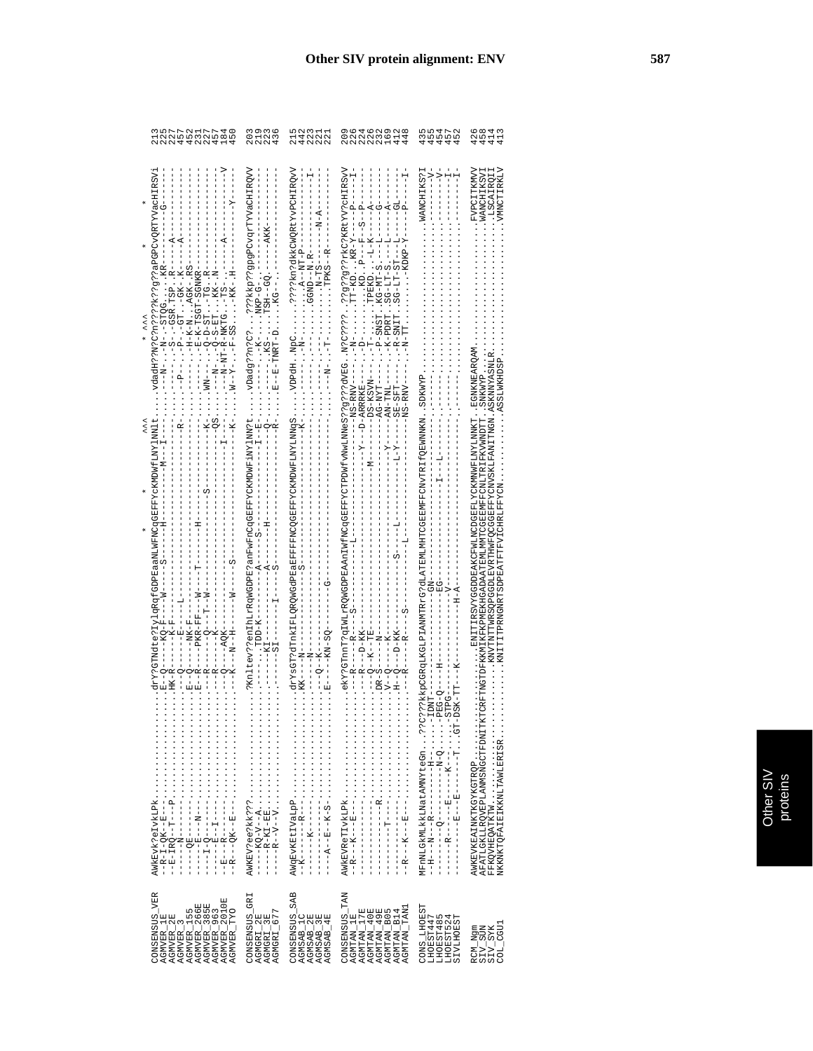|     | フワ クエフワ 4 0<br>クラ ちょうとう 8 0 0 0 0<br>ワワ ク ユフ ワ 4 0 0                                                                                                                                                                                                                                                                                                                                                                                                                                                                                                                                                                                                                                                                         | 203<br>219<br>236                                     | 442<br>223<br>221<br>221<br>$\frac{1}{2}$                                           | さらとりと840ときのようなところします<br>209<br>226                                                                                                                                                                                                                                                               | ちちょうこう ひうしつうしつ                                                      | 428<br>458<br>413<br>413                                                                                                                                                                                                                                                                                                                                             |
|-----|------------------------------------------------------------------------------------------------------------------------------------------------------------------------------------------------------------------------------------------------------------------------------------------------------------------------------------------------------------------------------------------------------------------------------------------------------------------------------------------------------------------------------------------------------------------------------------------------------------------------------------------------------------------------------------------------------------------------------|-------------------------------------------------------|-------------------------------------------------------------------------------------|--------------------------------------------------------------------------------------------------------------------------------------------------------------------------------------------------------------------------------------------------------------------------------------------------|---------------------------------------------------------------------|----------------------------------------------------------------------------------------------------------------------------------------------------------------------------------------------------------------------------------------------------------------------------------------------------------------------------------------------------------------------|
| くくく | . vdadH??N?C?n????k??g??aPGPCvQRTYVacHIRSVi<br>drY?GTMdte?IylqRqfGDPEaaNLWFNCqGEFFYcKMDWfLNYlNNlt<br>. . HK -- R -- - - - - - - - - - - - - - -<br>$-$ - - - - - $K$ - - - - -<br>$- - - R$<br>$\circ$ $\overline{\phantom{0}}$<br>AWKEVK?eIVKLPk<br>$\begin{split} &\frac{1}{1-\sqrt{2}}\frac{1}{2} \left( \frac{1}{2} \right) \left( \frac{1}{2} \right) \left( \frac{1}{2} \right) \left( \frac{1}{2} \right) \left( \frac{1}{2} \right) \left( \frac{1}{2} \right) \left( \frac{1}{2} \right) \left( \frac{1}{2} \right) \left( \frac{1}{2} \right) \left( \frac{1}{2} \right) \left( \frac{1}{2} \right) \left( \frac{1}{2} \right) \left( \frac{1}{2} \right) \left( \frac{1}{2} \right) \left( \frac{1}{2} \right) \$ | AWKEV?ee?kk???                                        | $N - A - - - - - - -$<br>- d-LIN--d' : : : : : : - - - N- : - - -<br>$-KK = - -N -$ | $---MSS-RWI$<br>$- - - - - - - - - - - - - -$<br>$-1$ - $-1$ - $-1$ - $-1$ - $-1$ - $-1$                                                                                                                                                                                                         | ???kkpCGRqLKGLPIAMMTRrG?dLATEMLMHTCGEEMFFCNvTRIfQEWNNKNSDKWYP       | VMNCTIRKLV<br>FVPCITKMV<br>WANCHIKSVI<br>ISCAIROII<br>. ENTIFIESVYGGDDEAKCFWLYCKMWFLVZKMWFLNYLMWF. . ENTHING<br>. KINZYTNYTTWRSOPGGDLEVRTHWFOCGBFFYCNVSKLFANITTMGN .ASKNNYASNLR<br>ASSLWKHDSP.<br>AFATLGKLLRQVEPLANMSNGCTFDNITTKTCRFTNGTDFKKMIKFKPMEKHGADAATEMLMMTCGEEMLTRITKIFKVWNDTTISNKWYP<br>FFKQVHEQATKTW<br>NKKNKTQFAIEIKKNLTAWLERISR<br>AWKEVKEAINKTKGYKGTRQP |
|     | CONSENSUS_VER<br>AGMVER_155<br>AGMVER_266E<br>AGMVER_385E<br>AGMVER_263<br>AGMVER_2010E<br>AGMVER_TYO<br>$\begin{array}{l} \texttt{AGMVER\_1E} \\ \texttt{AGMVER\_2E} \\ \texttt{AGMVER\_3E} \\ \end{array}$                                                                                                                                                                                                                                                                                                                                                                                                                                                                                                                 | CONSENSUS_GRI<br>AGMGRI_2E<br>AGMGRI_3E<br>AGMGRI_677 | CONSENSUS_SAB<br>AGMSAB_1C<br>AGMSAB_2E<br>AGMSAB_3E<br>AGMSAB_4E                   | $\begin{array}{l} \texttt{CONSBNSUS} \\ \texttt{AGMTAN}\_1\texttt{E}\\ \texttt{AGMTAN}\_1\texttt{E}\\ \texttt{AGMTAN}\_1\texttt{E}\\ \texttt{AGMTAN}\_4\texttt{9E}\\ \texttt{AGMTAN}\_4\texttt{9E}\\ \texttt{AGMTAN}\_4\texttt{9E}\\ \texttt{AGMTAN}\_5\end{array}$<br>AGMTAN TANJ<br>AGMTAN_B14 | CONS_LHOEST<br>LHOEST447<br>5<br>LHOEST524<br>SIVLHOEST<br>LHOEST48 | $\begin{array}{l} \texttt{RCM\_Ngm} \\ \texttt{SIV\_SUM} \\ \texttt{SIV\_SYK} \\ \texttt{COL\_GGU} \end{array}$                                                                                                                                                                                                                                                      |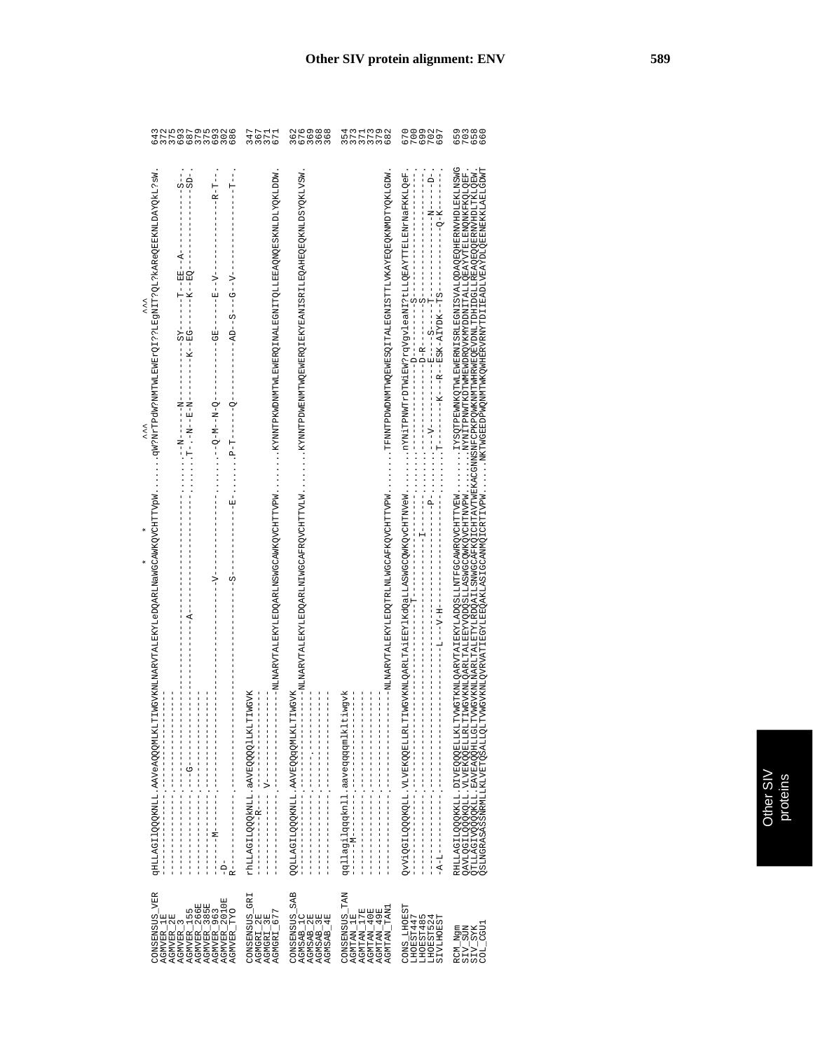| 64                                                                                                                                                                                                                                                                                                                                                                                                                                                                                   | フワコエクラファル<br>イラフト<br>MMMの                                            |                                                                                                                  | さきこうじょう こうしょうしょう<br>682                                                                                                                                                                                                                               | 700<br>670                                                                                                                                                            | 0<br>10 0 10 10<br>10 10 10                                                                                                                                                                                                                                                                                                                                                                                                          |
|--------------------------------------------------------------------------------------------------------------------------------------------------------------------------------------------------------------------------------------------------------------------------------------------------------------------------------------------------------------------------------------------------------------------------------------------------------------------------------------|----------------------------------------------------------------------|------------------------------------------------------------------------------------------------------------------|-------------------------------------------------------------------------------------------------------------------------------------------------------------------------------------------------------------------------------------------------------|-----------------------------------------------------------------------------------------------------------------------------------------------------------------------|--------------------------------------------------------------------------------------------------------------------------------------------------------------------------------------------------------------------------------------------------------------------------------------------------------------------------------------------------------------------------------------------------------------------------------------|
| ws: JIXQXYQTNYIABOƏYYY: TÖ: LIBAILLI SIQ XIINDAYSININI SIQITI SIN<br>$-$ - $-$ - $-$ - $ R$ - $T$ - $-$<br>$-1 - 1 - 1 - 1$<br>$- - S - -$<br>$-5D-$<br>$---Z - - E - -$<br>くくく<br>$TS - - - -$<br>- - N - - - - - - - N - -<br>くくく<br>IWGVKNLNARVTALEKYLeDQARLNaWGCAWKQVCHTTVpW<br>---V----<br>$- - - - A$<br>$\frac{1}{1}$<br>$\frac{1}{1}$<br>$-1$ $-1$ $-1$ $-1$<br>qHLLAGI1QQQKNLL.AAVeAQQQMLKLT<br>R--------------<br>$1 - 1 - 1 - 1 - 1 = 1 - 1 - 1 - 1 - 1$<br>$\frac{1}{1}$ | rhLLAGI1QQQkNLL.aAVEQQQlLKLTIMGVK<br>$\frac{1}{1}$<br>$-1$ $-1$ $-1$ | $\begin{bmatrix} 1 \\ 1 \\ 1 \\ 1 \end{bmatrix}$<br>$\frac{1}{1}$<br><b>SOTTSOTTADOSANE TTINIVAS SULTERITADO</b> | WCPTANZWARZATYANZENOZEXANATILZYANZENGPERTANZWARZATYANZWARZATYANZWARZATYANZWARZATYANZWARZATYANZWARZATYANZWARZATY<br>qqllagilqqknll.aaveqqqqmlkltiwgvk<br>$-1$ $-1$ $-1$ $-1$ $-1$<br>$\begin{bmatrix} 1 \\ 1 \\ 1 \\ 1 \end{bmatrix}$<br>$\frac{1}{1}$ | Z-ACTITIKASTITIKASTITIKIN SERA ASARA KARATIKAN KARATIKAN ASARA SERA KARA SERA TERA TERA SERA TERA SERA TERA SE<br>╺┕╘╘╘╘╘╘╘╘╘╘╘╘╘╘╘╘╘╘╘╘╘╘╘╘╘╧╩╝┶╩╍╘┶╝╙╘╘╘╘╘╘╘╘╘╘╘╘╘╘ | CONNENCERT SASSANT SERVER AT A STRANDWARDER THE STRAND OF CRITIP WAS THE SAFE WANT WAS DEVICED TO A STRAND A STRAND OF EXTERT OF DRI<br>TEMONTALTERI TALE ET VARIO DE TALE MONTALE AN ALLE EN TRES ANTES DE MONTALE MONTALE DE LA LIGER TALIA DE TALE D<br>QTLLAGIVQQQQKLL. EAVEAQQHLLGLITVMGVKNLNLMARLIFALETYLL&DQAILSQNGCAFKQICHTAVTWEXACGNNSNFCPKPQMKWMFWHRWEQEVDNLITDHLDGLLAEAQQEQQEXWHDLTKLQEW<br>QAVLQGILQQQKQLL.VLVEKQQELLRLI |
| CONSENSUS_VER<br>AGMVER_385E<br>AGMVER_963<br>AGMVER_2010E<br>AGMVER_155<br>AGMVER_266E<br><b>AGMVER_TYO</b><br>AGMVER_1E<br>AGMVER_2E<br>AGMVER_                                                                                                                                                                                                                                                                                                                                    | CONSENSUS_GRI<br>AGMGRI_677<br>AGMGRI_2E<br>AGMGRI_3E                | CONSENSUS_SAB<br>AGMSAB_1C<br>AGMSAB_2E<br>AGMSAB_3E<br>AGMSAB_4E                                                | CONSENSUS_TAN<br>AGMTAN_17E<br>AGMTAN_40E<br>AGMTAN_49E<br>AGMTAN_TAN1<br>AGMTAN_1E                                                                                                                                                                   | <b>CONS_LHOEST</b><br>LHOEST485<br>LHOEST447<br><b>SIVLHOEST</b><br>LHOEST524                                                                                         | $\begin{array}{l} \tt SIV\_SUM \\ \tt SIV\_SYK \\ \tt V1-SYK \\ \tt COL\_CGU1 \end{array}$<br>RCM_Ngm                                                                                                                                                                                                                                                                                                                                |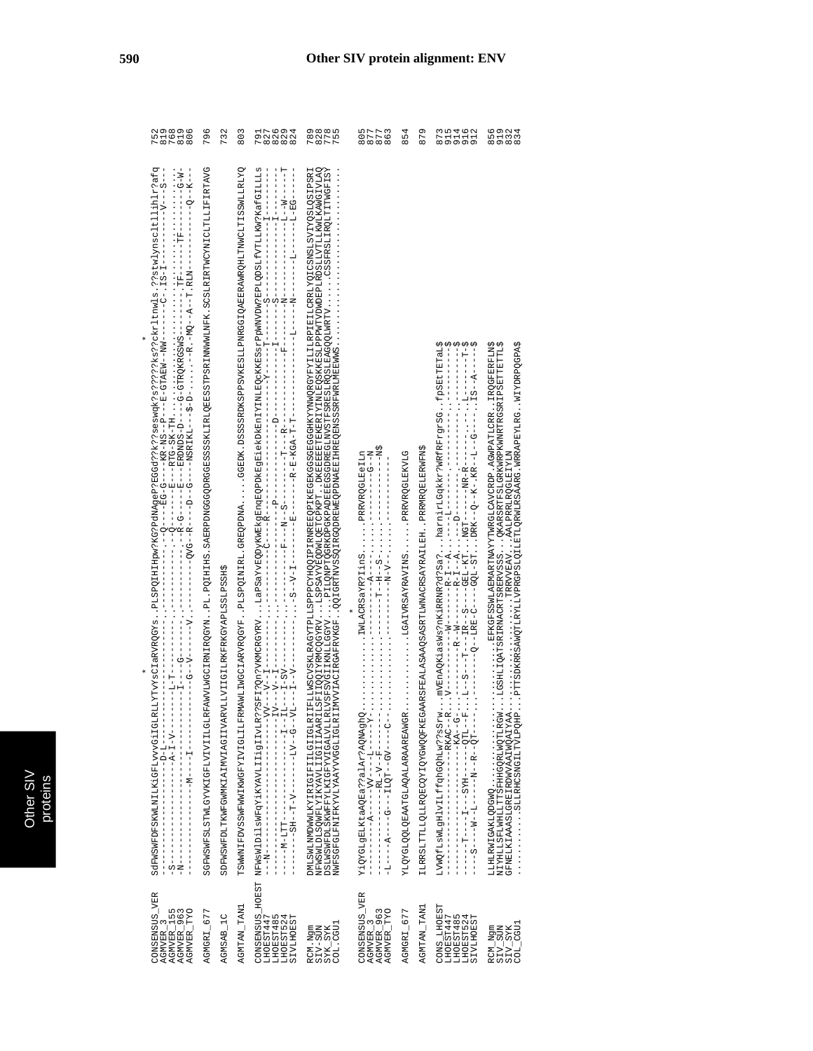| CONSENSUS_VER<br>AGMVER_155<br>AGMVER_963<br>AGMVER_TYO<br>AGMVER <sub>3</sub>                                  |                                                                                                                                                                                                                                                                                                                                                                                                                                                                                                           | 787896<br>201610<br>20161            |
|-----------------------------------------------------------------------------------------------------------------|-----------------------------------------------------------------------------------------------------------------------------------------------------------------------------------------------------------------------------------------------------------------------------------------------------------------------------------------------------------------------------------------------------------------------------------------------------------------------------------------------------------|--------------------------------------|
| AGMGRI_677                                                                                                      | SGEWENTELYVKIGFLVIILGLRFAWVLWQCIRNINILRG2NNPL.PQIHIHS.SABRPDNGGGQDRGGESSSSKLLRLQBESSTPSRINNWWLNFK.SCSLRFRFWWLCLTLLLFIRTRVG                                                                                                                                                                                                                                                                                                                                                                                | 796                                  |
| AGMSAB_1C                                                                                                       | SDFWSWFDLTKWFGWMKIAIMVIAGIIVARVILVIIGILEKFRKGYAPLSSLPSSHS                                                                                                                                                                                                                                                                                                                                                                                                                                                 | 732                                  |
| <b>AGMTAN TAN1</b>                                                                                              | TSMANTEDVSSWEWWIKWGFILIERMAWILIWGCIARVRQGYYFPLSPQINIRL.GREQEDNACGEDK.DSSSSROKSPPSVKESLIENSCIQAERRAWRCHICHTISSWILIELY                                                                                                                                                                                                                                                                                                                                                                                      | 803                                  |
| <b>SIVLHOEST</b><br>LHOEST485<br>LHOEST524                                                                      | $\begin{bmatrix} 1 \\ 1 \\ 1 \\ 1 \end{bmatrix}$<br>$\frac{1}{2}$<br>$-10$<br>$V$ – – $V$ – – $I$                                                                                                                                                                                                                                                                                                                                                                                                         | 7<br>0 7 7 7 7 7<br>9 7 7 7 7 7      |
| $\begin{array}{c} \text{SYK\_SYK} \\ \text{COL\_CGU1} \end{array}$<br>RCM.Ngm<br>SIV-SUN                        | NFWSNIYIYIYIYIIIGIIIAARII15FIIQZYYRVQQSYRViSPSAYVEQDWLQDFTCPKPTDXEBEBETXIXEQSXKESIPPPWTVDWDEPERDINIYIIKANGIVLQA<br>YSTAPMLTTONITSSPRESS<br>ESTANSCYTTERATERING TERES TAREN TERES AVAN ANGEGES ON ALT TERES TAREN TERES TAREN TERES TAREN TERES TAREN TAR<br>VLGPOPORTENSKENSSTESSER VLGPALVDESCORTENSPERDEN VLGPIL VLGPOPORTEN VLGPOPORTEN VLGPOPORTENSPERDEN VLGPOPORTENS<br>NWFSGFGLENXYVLYAAYVVGGLIGLEIENVVIACIRGAFRVKGFQQIGEYDVSSQIRGQDEEWEQPDNAEEIHREQEXFFWRLMEEWE.<br>DMLSWLMMDWWLKYIRIGIFILGIIGLRI | R<br>RALA<br>MALA                    |
| CONSENSUS_VER<br>AGMVER_963<br>AGMVER TYO<br>AGMVER_                                                            | $Z - -D - -1$<br>IWLACRSaYR?IinSPRRVRQGLEeILn<br>YiQYGLgELKtaAQEa??alAr?AQNAghQ                                                                                                                                                                                                                                                                                                                                                                                                                           | 5077<br>8778<br>888<br>$\frac{6}{8}$ |
| AGMGRI_677                                                                                                      | PRRVRQGLEKVLG<br>YLQYGLQQLAATGLAQALARAAREAWGR                                                                                                                                                                                                                                                                                                                                                                                                                                                             | 854                                  |
| AGMTAN_TAN1                                                                                                     | ILRRSLTTLLQLLRQBCQYIQYQFKEGAARSFEALASAAQSASRTLMNACRSAYRAILEH. . PRRMRQBLBRWFNS                                                                                                                                                                                                                                                                                                                                                                                                                            | 879                                  |
| <b>CONS_LHOEST</b><br>LHOEST447<br><b>SIVLHOEST</b><br>LHOEST485<br>LHOEST524                                   | . mVEnAQKiasWs?nKiRRNR?d?Sa?harnirLGqkkr?WRfRFrgrSGfpSEtTETaL\$<br>$\cdots$ $V$ - - - - -<br>LVWQfLsWLgHlvILffqhGQhLw??sSrw                                                                                                                                                                                                                                                                                                                                                                               | 89999<br>24444<br>24468              |
| $\begin{array}{l} \texttt{RCM\_Ngm} \\ \texttt{SIV\_SUM} \\ \texttt{SIV\_SIX} \\ \texttt{COL\_CGU} \end{array}$ | .PTTSDKRRSAWQTLRYLLVPRGPSLQILETLQRWLRSAARG.WRRAPEYLRG.WYDFDQQPA\$<br>WIXIETECOURLY  AALPRRIROGLEIYLN<br>NIYHLLSFLWHLLTTSFHHGQRLWQTLRGW<br>GFNELKIAAASLGREIRDWVAAIWQAIYAA<br>THRED CHAINSDRESS CHAINS ON A<br>LLHLRWIGAKLQDGWQ                                                                                                                                                                                                                                                                             | 6<br>5 1 3 4<br>6 9 6 7 9            |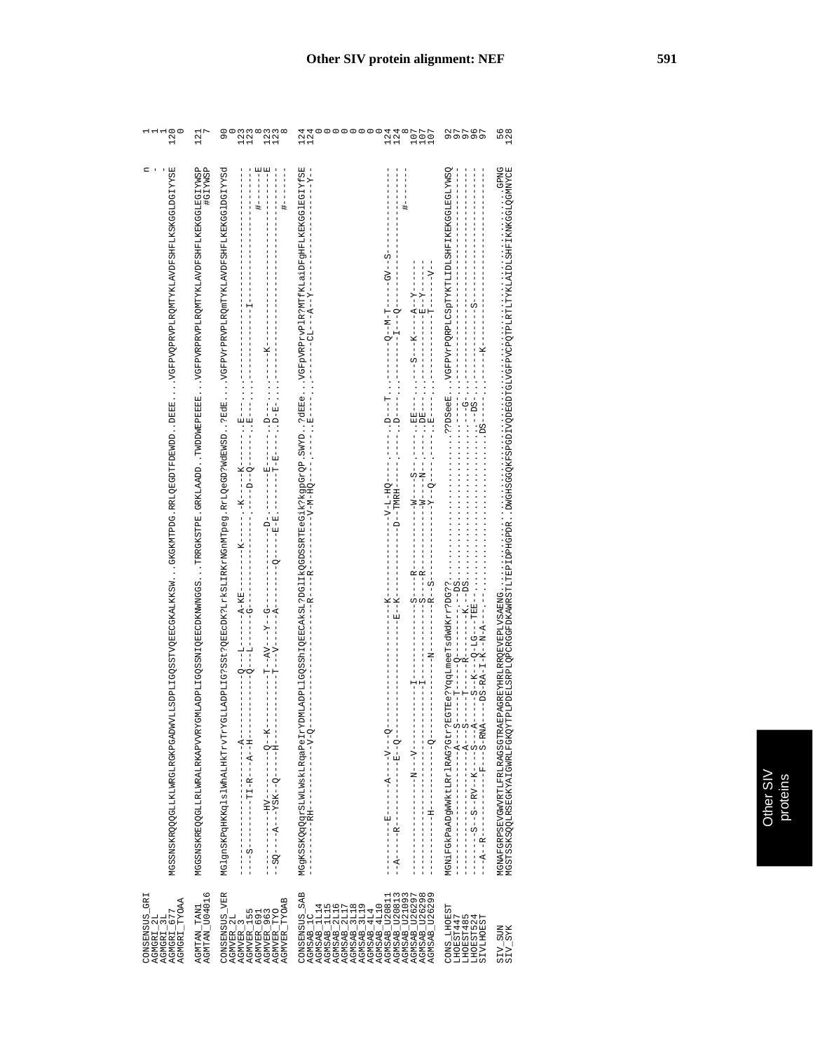| 120                                                                                                                                | 121                                                                                                                                             | $\frac{8}{9}$<br>8<br>22<br>12<br>11<br>$\frac{13}{12}$                                                                                                       | 00000<br>124<br>124<br>124<br>124<br>$\begin{matrix} 1 & 0 & 0 \\ 0 & 0 & 0 \\ 0 & 0 & 0 \\ 0 & 0 & 0 \\ 0 & 0 & 0 \\ 0 & 0 & 0 \\ 0 & 0 & 0 \\ 0 & 0 & 0 \\ 0 & 0 & 0 \\ 0 & 0 & 0 \\ 0 & 0 & 0 \\ 0 & 0 & 0 \\ 0 & 0 & 0 \\ 0 & 0 & 0 \\ 0 & 0 & 0 & 0 \\ 0 & 0 & 0 & 0 \\ 0 & 0 & 0 & 0 \\ 0 & 0 & 0 & 0 & 0 \\ 0 & 0 & 0 & 0 & 0 \\ 0 & 0 & 0 & 0 & 0 \\ 0 & 0 & 0$                                                                                                                                                        |                                                                        | 56<br>128<br>12                                                                                                                                                                                                                   |
|------------------------------------------------------------------------------------------------------------------------------------|-------------------------------------------------------------------------------------------------------------------------------------------------|---------------------------------------------------------------------------------------------------------------------------------------------------------------|--------------------------------------------------------------------------------------------------------------------------------------------------------------------------------------------------------------------------------------------------------------------------------------------------------------------------------------------------------------------------------------------------------------------------------------------------------------------------------------------------------------------------------|------------------------------------------------------------------------|-----------------------------------------------------------------------------------------------------------------------------------------------------------------------------------------------------------------------------------|
| Ч<br>MGSKAROKOGALMRGLAGRADMVLLJGQSTLVQEQALKKSMGKGKUTPDG.RRLQEGDEWDDDEEEVEPPVQFRDVQFAGELKAVDESENGGLAGRADME                          | MGKSANSKARIARIANDAIGALARIANG HIROGOSAN TARKARIA (IRAKITNA CAKLIAADI TERKIAADI TERDINDARIANG HIROGOSANTIKIANDESHIFIKEKGGIATASP<br><b>HGIYWSP</b> | MGlgnSKEqlslHKTrVTrTHXTrVTrTVFYG4LADPL1G?SSt=?Q\$BeCDK?LrKsLHEKrNGhMTpeg.RrLQeGD?MdBWSD?RdBVGPPVFPRVPFDRQhTYKLAVDFSHFLKBKGGlDGIYYSd<br>田--------<br>--------- | MGSKSOQQQTSLANIMIASLIRGaPeIYYDWLADPLIQQSShIQBECAkSL?LDG1JKQGDSSRTEeGiK?kgpGzQP.SMYD?dBBeVGFbVRPrVPlRVkPLALALDFGHFLKRKGGlPYESE<br>- Y - - A - - - Y -<br>--V-M-HO---<br>$---B---$<br>$-9 - 7 - 1$                                                                                                                                                                                                                                                                                                                               |                                                                        | NGNAN YARAH FALRAG BASI TERAGKA HIKI ARGENG HIKI ALIH ARGAN TARAH SERIKA DAGI SERBENGAN KERAJA YARAH SERIKA TE<br>NGSARSI SERIKA TERAG TERAGKA TERAGKA TERAG TERAG TERAG TERAG TERAG TERAG SERIKA TERAG TERAG TERAG TERAG TERAG T |
| CONSENSUS_GRI<br>$\begin{array}{l} \texttt{AGMGRI\_3L} \\ \texttt{AGMGRI\_677} \\ \texttt{AGMGRI\_YVOAA} \end{array}$<br>AGMGRI_2L | AGMTAN_TAN1<br>AGMTAN_U04016                                                                                                                    | CONSENSUS_VER<br>AGMVER_963<br>AGMVER_TYO<br>AGMVER_TYOAB<br>AGMVER_155<br>AGMVER <sub>691</sub><br>AGMVER_2L<br>AGMVER <sub>3</sub>                          | CONSENSUS_SAB<br>AGMSAB_U26297<br>AGMSAB_U26298<br>AGMSAB_U26299<br>AGMSAB_U20813<br>AGMSAB_U21093<br>$\begin{array}{l} \texttt{AGMSAB} = 11115 \\ \texttt{AGMSAB} = 21116 \\ \texttt{AGMSAB} = 31117 \\ \texttt{AGMSAB} = 31118 \\ \texttt{AGMSAB} = 31119 \\ \texttt{AGMSAB} = 4110 \\ \texttt{AGMSAB} = 4110 \\ \texttt{AGMSAB} = 4110 \\ \texttt{AGMSAB} = 111 \\ \texttt{AGMSAB} = 121 \\ \texttt{AGMSAB} = 1220811 \\ \texttt{AGMSAB} = 1220811 \\ \texttt{AGMSAB} = 1220811 \\ \end{array}$<br>AGMSAB_1C<br>AGMSAB_1L14 | CONS_LHOEST<br>LHOEST447<br>LHOEST485<br>LHOEST524<br><b>SIVLHOEST</b> | $\begin{array}{c} \texttt{SIV\_SUM} \\ \texttt{SIV\_SYK} \end{array}$                                                                                                                                                             |